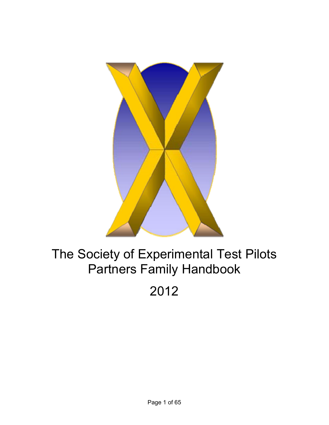

# The Society of Experimental Test Pilots Partners Family Handbook

2012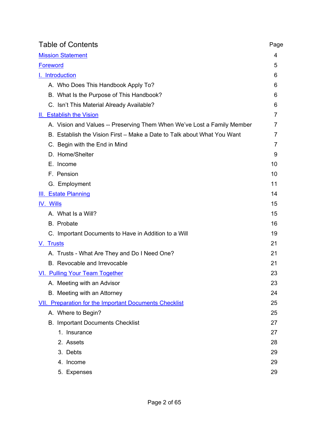| <b>Table of Contents</b>                                                | Page |
|-------------------------------------------------------------------------|------|
| <b>Mission Statement</b>                                                | 4    |
| <b>Foreword</b>                                                         | 5    |
| <b>I.</b> Introduction                                                  | 6    |
| A. Who Does This Handbook Apply To?                                     | 6    |
| B. What Is the Purpose of This Handbook?                                | 6    |
| C. Isn't This Material Already Available?                               | 6    |
| II. Establish the Vision                                                | 7    |
| A. Vision and Values -- Preserving Them When We've Lost a Family Member | 7    |
| B. Establish the Vision First – Make a Date to Talk about What You Want | 7    |
| C. Begin with the End in Mind                                           | 7    |
| D. Home/Shelter                                                         | 9    |
| E. Income                                                               | 10   |
| F. Pension                                                              | 10   |
| G. Employment                                                           | 11   |
| <b>III. Estate Planning</b>                                             | 14   |
| IV. Wills                                                               | 15   |
| A. What Is a Will?                                                      | 15   |
| B. Probate                                                              | 16   |
| C. Important Documents to Have in Addition to a Will                    | 19   |
| V. Trusts                                                               | 21   |
| A. Trusts - What Are They and Do I Need One?                            | 21   |
| B. Revocable and Irrevocable                                            | 21   |
| <b>VI.</b> Pulling Your Team Together                                   | 23   |
| A. Meeting with an Advisor                                              | 23   |
| B. Meeting with an Attorney                                             | 24   |
| <b>VII. Preparation for the Important Documents Checklist</b>           | 25   |
| A. Where to Begin?                                                      | 25   |
| <b>B. Important Documents Checklist</b>                                 | 27   |
| 1. Insurance                                                            | 27   |
| 2. Assets                                                               | 28   |
| 3. Debts                                                                | 29   |
| 4. Income                                                               | 29   |
| 5. Expenses                                                             | 29   |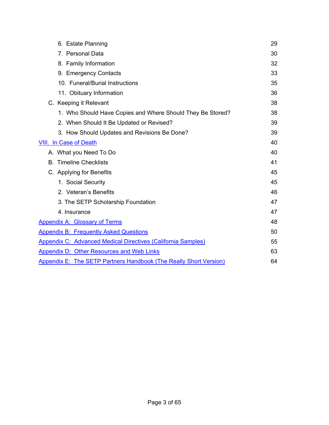| 6. Estate Planning                                                       | 29 |
|--------------------------------------------------------------------------|----|
| 7. Personal Data                                                         | 30 |
| 8. Family Information                                                    | 32 |
| 9. Emergency Contacts                                                    | 33 |
| 10. Funeral/Burial Instructions                                          | 35 |
| 11. Obituary Information                                                 | 36 |
| C. Keeping it Relevant                                                   | 38 |
| 1. Who Should Have Copies and Where Should They Be Stored?               | 38 |
| 2. When Should It Be Updated or Revised?                                 | 39 |
| 3. How Should Updates and Revisions Be Done?                             | 39 |
| <b>VIII. In Case of Death</b>                                            | 40 |
| A. What you Need To Do                                                   | 40 |
| <b>B.</b> Timeline Checklists                                            | 41 |
| C. Applying for Benefits                                                 | 45 |
| 1. Social Security                                                       | 45 |
| 2. Veteran's Benefits                                                    | 46 |
| 3. The SETP Scholarship Foundation                                       | 47 |
| 4. Insurance                                                             | 47 |
| <b>Appendix A: Glossary of Terms</b>                                     | 48 |
| <b>Appendix B: Frequently Asked Questions</b>                            | 50 |
| <b>Appendix C: Advanced Medical Directives (California Samples)</b>      | 55 |
| Appendix D: Other Resources and Web Links                                | 63 |
| <b>Appendix E: The SETP Partners Handbook (The Really Short Version)</b> | 64 |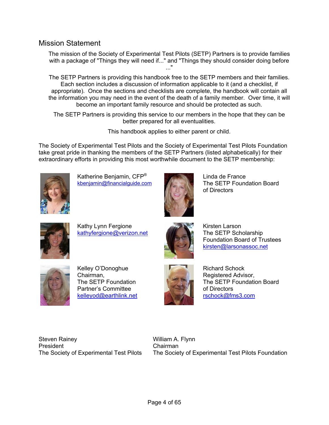#### <span id="page-3-0"></span>Mission Statement

The mission of the Society of Experimental Test Pilots (SETP) Partners is to provide families with a package of "Things they will need if..." and "Things they should consider doing before ..."

The SETP Partners is providing this handbook free to the SETP members and their families. Each section includes a discussion of information applicable to it (and a checklist, if appropriate). Once the sections and checklists are complete, the handbook will contain all the information you may need in the event of the death of a family member. Over time, it will become an important family resource and should be protected as such.

The SETP Partners is providing this service to our members in the hope that they can be better prepared for all eventualities.

This handbook applies to either parent or child.

The Society of Experimental Test Pilots and the Society of Experimental Test Pilots Foundation take great pride in thanking the members of the SETP Partners (listed alphabetically) for their extraordinary efforts in providing this most worthwhile document to the SETP membership:



Katherine Benjamin, CFP® [kbenjamin@financialguide.com](mailto:kbenjamin@financialguide.com)



Linda de France The SETP Foundation Board of Directors



Kathy Lynn Fergione [kathyfergione@verizon.net](mailto:kathyfergione@verizon.net)



Kirsten Larson The SETP Scholarship Foundation Board of Trustees [kirsten@larsonassoc.net](mailto:kirsten@larsonassoc.net)



Kelley O'Donoghue Chairman, The SETP Foundation Partner's Committee [kelleyod@earthlink.net](mailto:kelleyod@earthlink.net)



Richard Schock Registered Advisor, The SETP Foundation Board of Directors [rschock@fms3.com](mailto:rschock@fms3.com)

Steven Rainey President The Society of Experimental Test Pilots William A. Flynn Chairman The Society of Experimental Test Pilots Foundation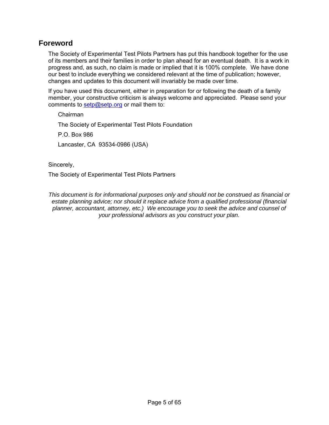### <span id="page-4-0"></span>**Foreword**

The Society of Experimental Test Pilots Partners has put this handbook together for the use of its members and their families in order to plan ahead for an eventual death. It is a work in progress and, as such, no claim is made or implied that it is 100% complete. We have done our best to include everything we considered relevant at the time of publication; however, changes and updates to this document will invariably be made over time.

If you have used this document, either in preparation for or following the death of a family member, your constructive criticism is always welcome and appreciated. Please send your comments to [setp@setp.org](mailto:setp@setp.org) or mail them to:

Chairman The Society of Experimental Test Pilots Foundation P.O. Box 986

Lancaster, CA 93534-0986 (USA)

Sincerely,

The Society of Experimental Test Pilots Partners

*This document is for informational purposes only and should not be construed as financial or estate planning advice; nor should it replace advice from a qualified professional (financial planner, accountant, attorney, etc.) We encourage you to seek the advice and counsel of your professional advisors as you construct your plan.*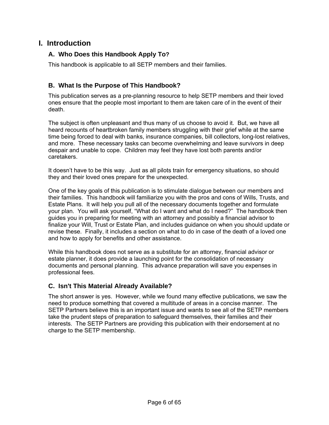## <span id="page-5-0"></span>**I. Introduction**

#### **A. Who Does this Handbook Apply To?**

This handbook is applicable to all SETP members and their families.

### **B. What Is the Purpose of This Handbook?**

This publication serves as a pre-planning resource to help SETP members and their loved ones ensure that the people most important to them are taken care of in the event of their death.

The subject is often unpleasant and thus many of us choose to avoid it. But, we have all heard recounts of heartbroken family members struggling with their grief while at the same time being forced to deal with banks, insurance companies, bill collectors, long-lost relatives, and more. These necessary tasks can become overwhelming and leave survivors in deep despair and unable to cope. Children may feel they have lost both parents and/or caretakers.

It doesn't have to be this way. Just as all pilots train for emergency situations, so should they and their loved ones prepare for the unexpected.

One of the key goals of this publication is to stimulate dialogue between our members and their families. This handbook will familiarize you with the pros and cons of Wills, Trusts, and Estate Plans. It will help you pull all of the necessary documents together and formulate your plan. You will ask yourself, "What do I want and what do I need?" The handbook then guides you in preparing for meeting with an attorney and possibly a financial advisor to finalize your Will, Trust or Estate Plan, and includes guidance on when you should update or revise these. Finally, it includes a section on what to do in case of the death of a loved one and how to apply for benefits and other assistance.

While this handbook does not serve as a substitute for an attorney, financial advisor or estate planner, it does provide a launching point for the consolidation of necessary documents and personal planning. This advance preparation will save you expenses in professional fees.

#### **C. Isn't This Material Already Available?**

The short answer is yes. However, while we found many effective publications, we saw the need to produce something that covered a multitude of areas in a concise manner. The SETP Partners believe this is an important issue and wants to see all of the SETP members take the prudent steps of preparation to safeguard themselves, their families and their interests. The SETP Partners are providing this publication with their endorsement at no charge to the SETP membership.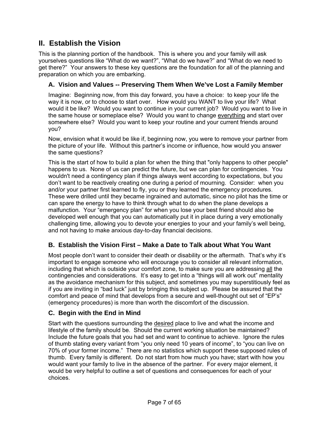# <span id="page-6-0"></span>**II. Establish the Vision**

This is the planning portion of the handbook. This is where you and your family will ask yourselves questions like "What do we want?", "What do we have?" and "What do we need to get there?" Your answers to these key questions are the foundation for all of the planning and preparation on which you are embarking.

#### **A. Vision and Values -- Preserving Them When We've Lost a Family Member**

Imagine: Beginning now, from this day forward, you have a choice: to keep your life the way it is now, or to choose to start over. How would you WANT to live your life? What would it be like? Would you want to continue in your current job? Would you want to live in the same house or someplace else? Would you want to change everything and start over somewhere else? Would you want to keep your routine and your current friends around you?

Now, envision what it would be like if, beginning now, you were to remove your partner from the picture of your life. Without this partner's income or influence, how would you answer the same questions?

This is the start of how to build a plan for when the thing that "only happens to other people" happens to us. None of us can predict the future, but we can plan for contingencies. You wouldn't need a contingency plan if things always went according to expectations, but you don't want to be reactively creating one during a period of mourning. Consider: when you and/or your partner first learned to fly, you or they learned the emergency procedures. These were drilled until they became ingrained and automatic, since no pilot has the time or can spare the energy to have to think through what to do when the plane develops a malfunction. Your "emergency plan" for when you lose your best friend should also be developed well enough that you can automatically put it in place during a very emotionally challenging time, allowing you to devote your energies to your and your family's well being, and not having to make anxious day-to-day financial decisions.

#### **B. Establish the Vision First – Make a Date to Talk about What You Want**

Most people don't want to consider their death or disability or the aftermath. That's why it's important to engage someone who will encourage you to consider all relevant information, including that which is outside your comfort zone, to make sure you are addressing all the contingencies and considerations. It's easy to get into a "things will all work out" mentality as the avoidance mechanism for this subject, and sometimes you may superstitiously feel as if you are inviting in "bad luck" just by bringing this subject up. Please be assured that the comfort and peace of mind that develops from a secure and well-thought out set of "EP's" (emergency procedures) is more than worth the discomfort of the discussion.

#### **C. Begin with the End in Mind**

Start with the questions surrounding the desired place to live and what the income and lifestyle of the family should be. Should the current working situation be maintained? Include the future goals that you had set and want to continue to achieve. Ignore the rules of thumb stating every variant from "you only need 10 years of income", to "you can live on 70% of your former income." There are no statistics which support these supposed rules of thumb. Every family is different. Do not start from how much you have; start with how you would want your family to live in the absence of the partner. For every major element, it would be very helpful to outline a set of questions and consequences for each of your choices.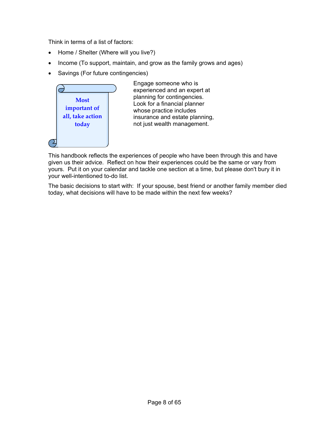Think in terms of a list of factors:

- Home / Shelter (Where will you live?)
- Income (To support, maintain, and grow as the family grows and ages)
- Savings (For future contingencies)



Engage someone who is experienced and an expert at planning for contingencies. Look for a financial planner whose practice includes insurance and estate planning, not just wealth management.

This handbook reflects the experiences of people who have been through this and have given us their advice. Reflect on how their experiences could be the same or vary from yours. Put it on your calendar and tackle one section at a time, but please don't bury it in your well-intentioned to-do list.

The basic decisions to start with: If your spouse, best friend or another family member died today, what decisions will have to be made within the next few weeks?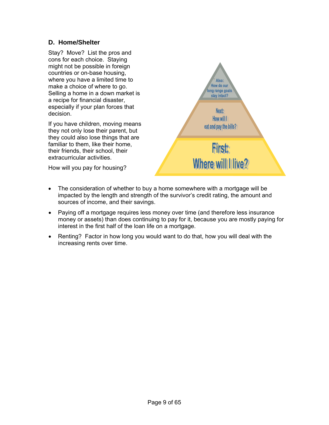#### **D. Home/Shelter**

Stay? Move? List the pros and cons for each choice. Staying might not be possible in foreign countries or on-base housing, where you have a limited time to make a choice of where to go. Selling a home in a down market is a recipe for financial disaster, especially if your plan forces that decision.

If you have children, moving means they not only lose their parent, but they could also lose things that are familiar to them, like their home, their friends, their school, their extracurricular activities.

How will you pay for housing?



- The consideration of whether to buy a home somewhere with a mortgage will be impacted by the length and strength of the survivor's credit rating, the amount and sources of income, and their savings.
- Paying off a mortgage requires less money over time (and therefore less insurance money or assets) than does continuing to pay for it, because you are mostly paying for interest in the first half of the loan life on a mortgage.
- Renting? Factor in how long you would want to do that, how you will deal with the increasing rents over time.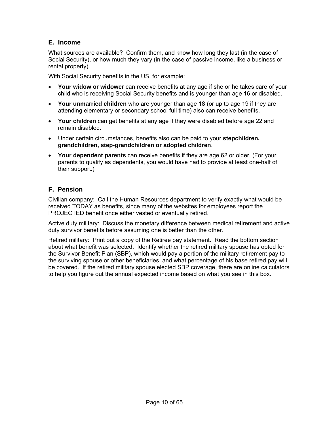#### **E. Income**

What sources are available? Confirm them, and know how long they last (in the case of Social Security), or how much they vary (in the case of passive income, like a business or rental property).

With Social Security benefits in the US, for example:

- **Your widow or widower** can receive benefits at any age if she or he takes care of your child who is receiving Social Security benefits and is younger than age 16 or disabled.
- **Your unmarried children** who are younger than age 18 (or up to age 19 if they are attending elementary or secondary school full time) also can receive benefits.
- **Your children** can get benefits at any age if they were disabled before age 22 and remain disabled.
- Under certain circumstances, benefits also can be paid to your **stepchildren, grandchildren, step-grandchildren or adopted children**.
- **Your dependent parents** can receive benefits if they are age 62 or older. (For your parents to qualify as dependents, you would have had to provide at least one-half of their support.)

#### **F. Pension**

Civilian company: Call the Human Resources department to verify exactly what would be received TODAY as benefits, since many of the websites for employees report the PROJECTED benefit once either vested or eventually retired.

Active duty military: Discuss the monetary difference between medical retirement and active duty survivor benefits before assuming one is better than the other.

Retired military: Print out a copy of the Retiree pay statement. Read the bottom section about what benefit was selected. Identify whether the retired military spouse has opted for the Survivor Benefit Plan (SBP), which would pay a portion of the military retirement pay to the surviving spouse or other beneficiaries, and what percentage of his base retired pay will be covered. If the retired military spouse elected SBP coverage, there are online calculators to help you figure out the annual expected income based on what you see in this box.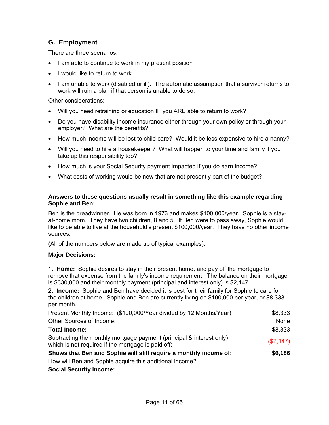#### **G. Employment**

There are three scenarios:

- I am able to continue to work in my present position
- I would like to return to work
- I am unable to work (disabled or ill). The automatic assumption that a survivor returns to work will ruin a plan if that person is unable to do so.

Other considerations:

- Will you need retraining or education IF you ARE able to return to work?
- Do you have disability income insurance either through your own policy or through your employer? What are the benefits?
- How much income will be lost to child care? Would it be less expensive to hire a nanny?
- Will you need to hire a housekeeper? What will happen to your time and family if you take up this responsibility too?
- How much is your Social Security payment impacted if you do earn income?
- What costs of working would be new that are not presently part of the budget?

#### **Answers to these questions usually result in something like this example regarding Sophie and Ben:**

Ben is the breadwinner. He was born in 1973 and makes \$100,000/year. Sophie is a stayat-home mom. They have two children, 8 and 5. If Ben were to pass away, Sophie would like to be able to live at the household's present \$100,000/year. They have no other income sources.

(All of the numbers below are made up of typical examples):

#### **Major Decisions:**

1. **Home:** Sophie desires to stay in their present home, and pay off the mortgage to remove that expense from the family's income requirement. The balance on their mortgage is \$330,000 and their monthly payment (principal and interest only) is \$2,147.

2. **Income:** Sophie and Ben have decided it is best for their family for Sophie to care for the children at home. Sophie and Ben are currently living on \$100,000 per year, or \$8,333 per month.

| Present Monthly Income: (\$100,000/Year divided by 12 Months/Year)                                                         | \$8,333   |
|----------------------------------------------------------------------------------------------------------------------------|-----------|
| Other Sources of Income:                                                                                                   | None      |
| <b>Total Income:</b>                                                                                                       | \$8,333   |
| Subtracting the monthly mortgage payment (principal & interest only)<br>which is not required if the mortgage is paid off: | (\$2,147) |
| Shows that Ben and Sophie will still require a monthly income of:                                                          | \$6,186   |
| How will Ben and Sophie acquire this additional income?                                                                    |           |
|                                                                                                                            |           |

#### **Social Security Income:**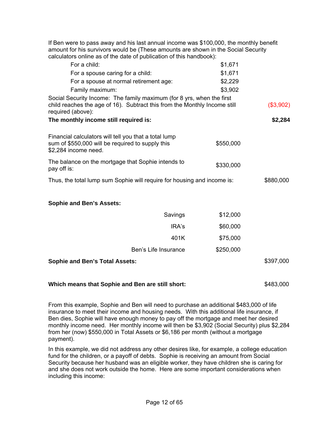| If Ben were to pass away and his last annual income was \$100,000, the monthly benefit<br>amount for his survivors would be (These amounts are shown in the Social Security |           |           |
|-----------------------------------------------------------------------------------------------------------------------------------------------------------------------------|-----------|-----------|
| calculators online as of the date of publication of this handbook):                                                                                                         |           |           |
| For a child:                                                                                                                                                                | \$1,671   |           |
| For a spouse caring for a child:                                                                                                                                            | \$1,671   |           |
| For a spouse at normal retirement age:                                                                                                                                      | \$2,229   |           |
| Family maximum:                                                                                                                                                             | \$3,902   |           |
| Social Security Income: The family maximum (for 8 yrs, when the first<br>child reaches the age of 16). Subtract this from the Monthly Income still<br>required (above):     |           | (\$3,902) |
| The monthly income still required is:                                                                                                                                       |           | \$2,284   |
| Financial calculators will tell you that a total lump<br>sum of \$550,000 will be required to supply this<br>\$2,284 income need.                                           | \$550,000 |           |
| The balance on the mortgage that Sophie intends to<br>pay off is:                                                                                                           | \$330,000 |           |
| Thus, the total lump sum Sophie will require for housing and income is:                                                                                                     |           | \$880,000 |
| <b>Sophie and Ben's Assets:</b>                                                                                                                                             |           |           |
| Savings                                                                                                                                                                     | \$12,000  |           |
| IRA's                                                                                                                                                                       | \$60,000  |           |
| 401K                                                                                                                                                                        | \$75,000  |           |
| Ben's Life Insurance                                                                                                                                                        | \$250,000 |           |
| <b>Sophie and Ben's Total Assets:</b>                                                                                                                                       |           | \$397,000 |
|                                                                                                                                                                             |           |           |

#### **Which means that Sophie and Ben are still short:** \$483,000

From this example, Sophie and Ben will need to purchase an additional \$483,000 of life insurance to meet their income and housing needs. With this additional life insurance, if Ben dies, Sophie will have enough money to pay off the mortgage and meet her desired monthly income need. Her monthly income will then be \$3,902 (Social Security) plus \$2,284 from her (now) \$550,000 in Total Assets or \$6,186 per month (without a mortgage payment).

In this example, we did not address any other desires like, for example, a college education fund for the children, or a payoff of debts. Sophie is receiving an amount from Social Security because her husband was an eligible worker, they have children she is caring for and she does not work outside the home. Here are some important considerations when including this income: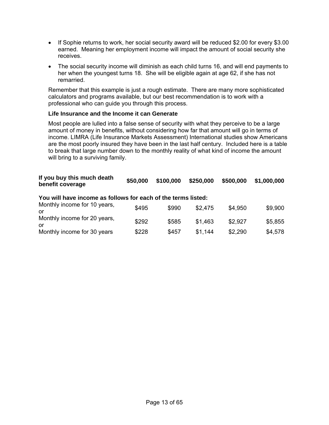- If Sophie returns to work, her social security award will be reduced \$2.00 for every \$3.00 earned. Meaning her employment income will impact the amount of social security she receives.
- The social security income will diminish as each child turns 16, and will end payments to her when the youngest turns 18. She will be eligible again at age 62, if she has not remarried.

Remember that this example is just a rough estimate. There are many more sophisticated calculators and programs available, but our best recommendation is to work with a professional who can guide you through this process.

#### **Life Insurance and the Income it can Generate**

Most people are lulled into a false sense of security with what they perceive to be a large amount of money in benefits, without considering how far that amount will go in terms of income. LIMRA (Life Insurance Markets Assessment) International studies show Americans are the most poorly insured they have been in the last half century. Included here is a table to break that large number down to the monthly reality of what kind of income the amount will bring to a surviving family.

| If you buy this much death<br>benefit coverage | \$50,000 |  | <b>↓ \$100,000 \$250,000 \$500,000 \$1,000,000</b> |
|------------------------------------------------|----------|--|----------------------------------------------------|
|                                                |          |  |                                                    |

#### **You will have income as follows for each of the terms listed:**

| Monthly income for 10 years,<br>or  | \$495 | \$990 | \$2.475 | \$4,950 | \$9,900 |
|-------------------------------------|-------|-------|---------|---------|---------|
| Monthly income for 20 years,<br>.or | \$292 | \$585 | \$1.463 | \$2.927 | \$5,855 |
| Monthly income for 30 years         | \$228 | \$457 | \$1.144 | \$2,290 | \$4,578 |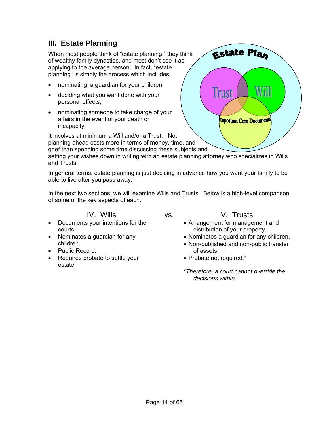# <span id="page-13-0"></span>**III. Estate Planning**

When most people think of "estate planning," they think of wealthy family dynasties, and most don't see it as applying to the average person. In fact, "estate planning" is simply the process which includes:

- nominating a guardian for your children,
- deciding what you want done with your personal effects,
- nominating someone to take charge of your affairs in the event of your death or incapacity.

It involves at minimum a Will and/or a Trust. Not planning ahead costs more in terms of money, time, and grief than spending some time discussing these subjects and

setting your wishes down in writing with an estate planning attorney who specializes in Wills and Trusts.

In general terms, estate planning is just deciding in advance how you want your family to be able to live after you pass away.

In the next two sections, we will examine Wills and Trusts. Below is a high-level comparison of some of the key aspects of each.

IV. Wills vs. V. Trusts

#### • Documents your intentions for the courts.

- Nominates a guardian for any children.
- Public Record.
- Requires probate to settle your estate.
- Arrangement for management and distribution of your property.
- Nominates a guardian for any children.
- Non-published and non-public transfer of assets.
- Probate not required.\*
- \**Therefore, a court cannot override the decisions within*

Will Trust **Important Core Documents** 

**Estate Plan**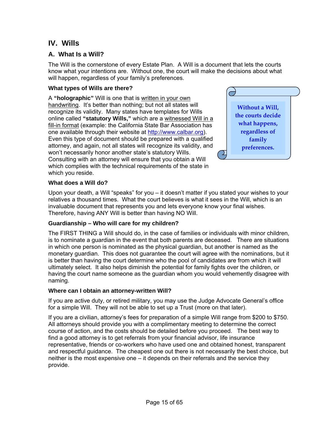# <span id="page-14-0"></span>**IV. Wills**

#### **A. What Is a Will?**

The Will is the cornerstone of every Estate Plan. A Will is a document that lets the courts know what your intentions are. Without one, the court will make the decisions about what will happen, regardless of your family's preferences.

#### **What types of Wills are there?**

A **"holographic"** Will is one that is written in your own handwriting. It's better than nothing; but not all states will recognize its validity. Many states have templates for Wills online called **"statutory Wills,"** which are a witnessed Will in a fill-in format (example: the California State Bar Association has one available through their website at [http://www.calbar.org\)](http://www.calbar.org/). Even this type of document should be prepared with a qualified attorney, and again, not all states will recognize its validity, and won't necessarily honor another state's statutory Wills. Consulting with an attorney will ensure that you obtain a Will which complies with the technical requirements of the state in which you reside.



#### **What does a Will do?**

Upon your death, a Will "speaks" for you – it doesn't matter if you stated your wishes to your relatives a thousand times. What the court believes is what it sees in the Will, which is an invaluable document that represents you and lets everyone know your final wishes. Therefore, having ANY Will is better than having NO Will.

#### **Guardianship – Who will care for my children?**

The FIRST THING a Will should do, in the case of families or individuals with minor children, is to nominate a guardian in the event that both parents are deceased. There are situations in which one person is nominated as the physical guardian, but another is named as the monetary guardian. This does not guarantee the court will agree with the nominations, but it is better than having the court determine who the pool of candidates are from which it will ultimately select. It also helps diminish the potential for family fights over the children, or having the court name someone as the guardian whom you would vehemently disagree with naming.

#### **Where can I obtain an attorney-written Will?**

If you are active duty, or retired military, you may use the Judge Advocate General's office for a simple Will. They will not be able to set up a Trust (more on that later).

If you are a civilian, attorney's fees for preparation of a simple Will range from \$200 to \$750. All attorneys should provide you with a complimentary meeting to determine the correct course of action, and the costs should be detailed before you proceed. The best way to find a good attorney is to get referrals from your financial advisor, life insurance representative, friends or co-workers who have used one and obtained honest, transparent and respectful guidance. The cheapest one out there is not necessarily the best choice, but neither is the most expensive one – it depends on their referrals and the service they provide.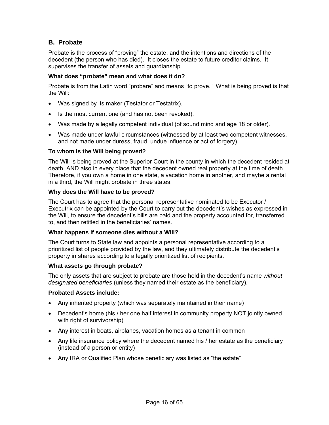#### **B. Probate**

Probate is the process of "proving" the estate, and the intentions and directions of the decedent (the person who has died). It closes the estate to future creditor claims. It supervises the transfer of assets and guardianship.

#### **What does "probate" mean and what does it do?**

Probate is from the Latin word "probare" and means "to prove." What is being proved is that the Will:

- Was signed by its maker (Testator or Testatrix).
- Is the most current one (and has not been revoked).
- Was made by a legally competent individual (of sound mind and age 18 or older).
- Was made under lawful circumstances (witnessed by at least two competent witnesses, and not made under duress, fraud, undue influence or act of forgery).

#### **To whom is the Will being proved?**

The Will is being proved at the Superior Court in the county in which the decedent resided at death, AND also in every place that the decedent owned real property at the time of death. Therefore, if you own a home in one state, a vacation home in another, and maybe a rental in a third, the Will might probate in three states.

#### **Why does the Will have to be proved?**

The Court has to agree that the personal representative nominated to be Executor / Executrix can be appointed by the Court to carry out the decedent's wishes as expressed in the Will, to ensure the decedent's bills are paid and the property accounted for, transferred to, and then retitled in the beneficiaries' names.

#### **What happens if someone dies without a Will?**

The Court turns to State law and appoints a personal representative according to a prioritized list of people provided by the law, and they ultimately distribute the decedent's property in shares according to a legally prioritized list of recipients.

#### **What assets go through probate?**

The only assets that are subject to probate are those held in the decedent's name *without designated beneficiaries* (unless they named their estate as the beneficiary).

#### **Probated Assets include:**

- Any inherited property (which was separately maintained in their name)
- Decedent's home (his / her one half interest in community property NOT jointly owned with right of survivorship)
- Any interest in boats, airplanes, vacation homes as a tenant in common
- Any life insurance policy where the decedent named his / her estate as the beneficiary (instead of a person or entity)
- Any IRA or Qualified Plan whose beneficiary was listed as "the estate"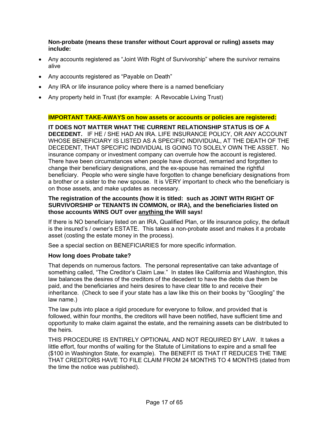**Non-probate (means these transfer without Court approval or ruling) assets may include:**

- Any accounts registered as "Joint With Right of Survivorship" where the survivor remains alive
- Any accounts registered as "Payable on Death"
- Any IRA or life insurance policy where there is a named beneficiary
- Any property held in Trust (for example: A Revocable Living Trust)

#### **IMPORTANT TAKE-AWAYS on how assets or accounts or policies are registered:**

**IT DOES NOT MATTER WHAT THE CURRENT RELATIONSHIP STATUS IS OF A DECEDENT.** IF HE / SHE HAD AN IRA. LIFE INSURANCE POLICY, OR ANY ACCOUNT WHOSE BENEFICIARY IS LISTED AS A SPECIFIC INDIVIDUAL, AT THE DEATH OF THE DECEDENT, THAT SPECIFIC INDIVIDUAL IS GOING TO SOLELY OWN THE ASSET. No insurance company or investment company can overrule how the account is registered. There have been circumstances when people have divorced, remarried and forgotten to change their beneficiary designations, and the ex-spouse has remained the rightful beneficiary. People who were single have forgotten to change beneficiary designations from a brother or a sister to the new spouse. It is VERY important to check who the beneficiary is on those assets, and make updates as necessary.

#### **The registration of the accounts (how it is titled: such as JOINT WITH RIGHT OF SURVIVORSHIP or TENANTS IN COMMON, or IRA), and the beneficiaries listed on those accounts WINS OUT over anything the Will says!**

If there is NO beneficiary listed on an IRA, Qualified Plan, or life insurance policy, the default is the insured's / owner's ESTATE. This takes a non-probate asset and makes it a probate asset (costing the estate money in the process).

See a special section on BENEFICIARIES for more specific information.

#### **How long does Probate take?**

That depends on numerous factors. The personal representative can take advantage of something called, "The Creditor's Claim Law." In states like California and Washington, this law balances the desires of the creditors of the decedent to have the debts due them be paid, and the beneficiaries and heirs desires to have clear title to and receive their inheritance. (Check to see if your state has a law like this on their books by "Googling" the law name.)

The law puts into place a rigid procedure for everyone to follow, and provided that is followed, within four months, the creditors will have been notified, have sufficient time and opportunity to make claim against the estate, and the remaining assets can be distributed to the heirs.

THIS PROCEDURE IS ENTIRELY OPTIONAL AND NOT REQUIRED BY LAW. It takes a little effort, four months of waiting for the Statute of Limitations to expire and a small fee (\$100 in Washington State, for example). The BENEFIT IS THAT IT REDUCES THE TIME THAT CREDITORS HAVE TO FILE CLAIM FROM 24 MONTHS TO 4 MONTHS (dated from the time the notice was published).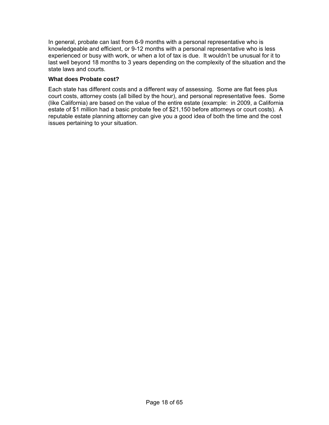In general, probate can last from 6-9 months with a personal representative who is knowledgeable and efficient, or 9-12 months with a personal representative who is less experienced or busy with work, or when a lot of tax is due. It wouldn't be unusual for it to last well beyond 18 months to 3 years depending on the complexity of the situation and the state laws and courts.

#### **What does Probate cost?**

Each state has different costs and a different way of assessing. Some are flat fees plus court costs, attorney costs (all billed by the hour), and personal representative fees. Some (like California) are based on the value of the entire estate (example: in 2009, a California estate of \$1 million had a basic probate fee of \$21,150 before attorneys or court costs). A reputable estate planning attorney can give you a good idea of both the time and the cost issues pertaining to your situation.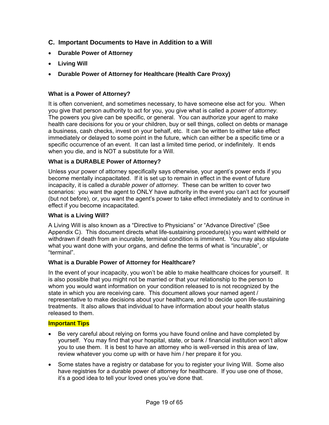- **C. Important Documents to Have in Addition to a Will**
- **Durable Power of Attorney**
- **Living Will**
- **Durable Power of Attorney for Healthcare (Health Care Proxy)**

#### **What is a Power of Attorney?**

It is often convenient, and sometimes necessary, to have someone else act for you. When you give that person authority to act for you, you give what is called a *power of attorney.* The powers you give can be specific, or general. You can authorize your agent to make health care decisions for you or your children, buy or sell things, collect on debts or manage a business, cash checks, invest on your behalf, etc. It can be written to either take effect immediately or delayed to some point in the future, which can either be a specific time or a specific occurrence of an event. It can last a limited time period, or indefinitely. It ends when you die, and is NOT a substitute for a Will.

#### **What is a DURABLE Power of Attorney?**

Unless your power of attorney specifically says otherwise, your agent's power ends if you become mentally incapacitated. If it is set up to remain in effect in the event of future incapacity, it is called a *durable power of attorney.* These can be written to cover two scenarios: you want the agent to ONLY have authority in the event you can't act for yourself (but not before), or, you want the agent's power to take effect immediately and to continue in effect if you become incapacitated.

#### **What is a Living Will?**

A Living Will is also known as a "Directive to Physicians" or "Advance Directive" (See Appendix C). This document directs what life-sustaining procedure(s) you want withheld or withdrawn if death from an incurable, terminal condition is imminent. You may also stipulate what you want done with your organs, and define the terms of what is "incurable", or "terminal".

#### **What is a Durable Power of Attorney for Healthcare?**

In the event of your incapacity, you won't be able to make healthcare choices for yourself. It is also possible that you might not be married or that your relationship to the person to whom you would want information on your condition released to is not recognized by the state in which you are receiving care. This document allows your named agent / representative to make decisions about your healthcare, and to decide upon life-sustaining treatments. It also allows that individual to have information about your health status released to them.

#### **Important Tips**

- Be very careful about relying on forms you have found online and have completed by yourself. You may find that your hospital, state, or bank / financial institution won't allow you to use them. It is best to have an attorney who is well-versed in this area of law, review whatever you come up with or have him / her prepare it for you.
- Some states have a registry or database for you to register your living Will. Some also have registries for a durable power of attorney for healthcare. If you use one of those, it's a good idea to tell your loved ones you've done that.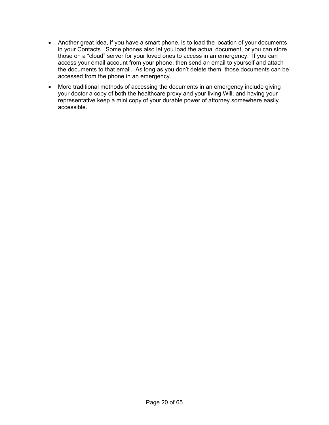- Another great idea, if you have a smart phone, is to load the location of your documents in your Contacts. Some phones also let you load the actual document, or you can store those on a "cloud" server for your loved ones to access in an emergency. If you can access your email account from your phone, then send an email to yourself and attach the documents to that email. As long as you don't delete them, those documents can be accessed from the phone in an emergency.
- More traditional methods of accessing the documents in an emergency include giving your doctor a copy of both the healthcare proxy and your living Will, and having your representative keep a mini copy of your durable power of attorney somewhere easily accessible.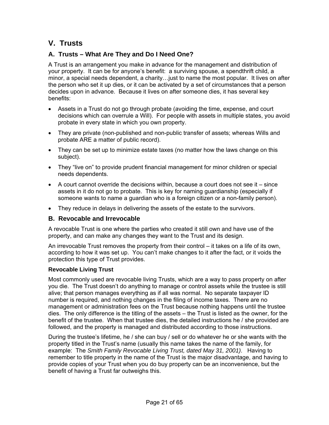# <span id="page-20-0"></span>**V. Trusts**

#### **A. Trusts – What Are They and Do I Need One?**

A Trust is an arrangement you make in advance for the management and distribution of your property. It can be for anyone's benefit: a surviving spouse, a spendthrift child, a minor, a special needs dependent, a charity…just to name the most popular. It lives on after the person who set it up dies, or it can be activated by a set of circumstances that a person decides upon in advance. Because it lives on after someone dies, it has several key benefits:

- Assets in a Trust do not go through probate (avoiding the time, expense, and court decisions which can overrule a Will). For people with assets in multiple states, you avoid probate in every state in which you own property.
- They are private (non-published and non-public transfer of assets; whereas Wills and probate ARE a matter of public record).
- They can be set up to minimize estate taxes (no matter how the laws change on this subject).
- They "live on" to provide prudent financial management for minor children or special needs dependents.
- $\bullet$  A court cannot override the decisions within, because a court does not see it  $-$  since assets in it do not go to probate. This is key for naming guardianship (especially if someone wants to name a guardian who is a foreign citizen or a non-family person).
- They reduce in delays in delivering the assets of the estate to the survivors.

#### **B. Revocable and Irrevocable**

A revocable Trust is one where the parties who created it still own and have use of the property, and can make any changes they want to the Trust and its design.

An irrevocable Trust removes the property from their control – it takes on a life of its own, according to how it was set up. You can't make changes to it after the fact, or it voids the protection this type of Trust provides.

#### **Revocable Living Trust**

Most commonly used are revocable living Trusts, which are a way to pass property on after you die. The Trust doesn't do anything to manage or control assets while the trustee is still alive; that person manages everything as if all was normal. No separate taxpayer ID number is required, and nothing changes in the filing of income taxes. There are no management or administration fees on the Trust because nothing happens until the trustee dies. The only difference is the titling of the assets – the Trust is listed as the owner, for the benefit of the trustee. When that trustee dies, the detailed instructions he / she provided are followed, and the property is managed and distributed according to those instructions.

During the trustee's lifetime, he / she can buy / sell or do whatever he or she wants with the property titled in the Trust's name (usually this name takes the name of the family, for example: The *Smith Family Revocable Living Trust, dated May 31, 2001)*. Having to remember to title property in the name of the Trust is the major disadvantage, and having to provide copies of your Trust when you do buy property can be an inconvenience, but the benefit of having a Trust far outweighs this.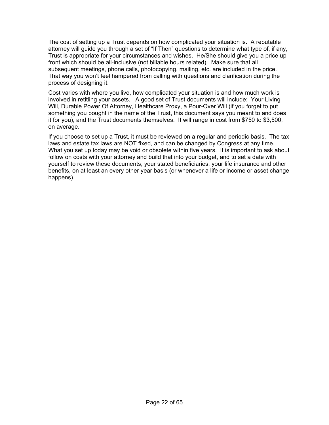The cost of setting up a Trust depends on how complicated your situation is. A reputable attorney will guide you through a set of "If Then" questions to determine what type of, if any, Trust is appropriate for your circumstances and wishes. He/She should give you a price up front which should be all-inclusive (not billable hours related). Make sure that all subsequent meetings, phone calls, photocopying, mailing, etc. are included in the price. That way you won't feel hampered from calling with questions and clarification during the process of designing it.

Cost varies with where you live, how complicated your situation is and how much work is involved in retitling your assets. A good set of Trust documents will include: Your Living Will, Durable Power Of Attorney, Healthcare Proxy, a Pour-Over Will (if you forget to put something you bought in the name of the Trust, this document says you meant to and does it for you), and the Trust documents themselves. It will range in cost from \$750 to \$3,500, on average.

If you choose to set up a Trust, it must be reviewed on a regular and periodic basis. The tax laws and estate tax laws are NOT fixed, and can be changed by Congress at any time. What you set up today may be void or obsolete within five years. It is important to ask about follow on costs with your attorney and build that into your budget, and to set a date with yourself to review these documents, your stated beneficiaries, your life insurance and other benefits, on at least an every other year basis (or whenever a life or income or asset change happens).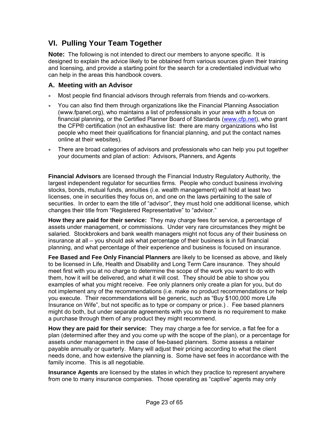# <span id="page-22-0"></span>**VI. Pulling Your Team Together**

**Note:** The following is not intended to direct our members to anyone specific. It is designed to explain the advice likely to be obtained from various sources given their training and licensing, and provide a starting point for the search for a credentialed individual who can help in the areas this handbook covers.

#### **A. Meeting with an Advisor**

- Most people find financial advisors through referrals from friends and co-workers.
- You can also find them through organizations like the Financial Planning Association (www.fpanet.org), who maintains a list of professionals in your area with a focus on financial planning, or the Certified Planner Board of Standards ([www.cfp.net\)](http://www.cfp.net/), who grant the CFP® certification (not an exhaustive list: there are many organizations who list people who meet their qualifications for financial planning, and put the contact names online at their websites).
- There are broad categories of advisors and professionals who can help you put together your documents and plan of action: Advisors, Planners, and Agents

**Financial Advisors** are licensed through the Financial Industry Regulatory Authority, the largest independent regulator for securities firms. People who conduct business involving stocks, bonds, mutual funds, annuities (i.e. wealth management) will hold at least two licenses, one in securities they focus on, and one on the laws pertaining to the sale of securities. In order to earn the title of "advisor", they must hold one additional license, which changes their title from "Registered Representative" to "advisor."

**How they are paid for their service:** They may charge fees for service, a percentage of assets under management, or commissions. Under very rare circumstances they might be salaried. Stockbrokers and bank wealth managers might not focus any of their business on insurance at all – you should ask what percentage of their business is in full financial planning, and what percentage of their experience and business is focused on insurance.

**Fee Based and Fee Only Financial Planners** are likely to be licensed as above, and likely to be licensed in Life, Health and Disability and Long Term Care insurance. They should meet first with you at no charge to determine the scope of the work you want to do with them, how it will be delivered, and what it will cost. They should be able to show you examples of what you might receive. Fee only planners only create a plan for you, but do not implement any of the recommendations (i.e. make no product recommendations or help you execute. Their recommendations will be generic, such as "Buy \$100,000 more Life Insurance on Wife", but not specific as to type or company or price.) . Fee based planners might do both, but under separate agreements with you so there is no requirement to make a purchase through them of any product they might recommend.

**How they are paid for their service:** They may charge a fee for service, a flat fee for a plan (determined after they and you come up with the scope of the plan), or a percentage for assets under management in the case of fee-based planners. Some assess a retainer payable annually or quarterly. Many will adjust their pricing according to what the client needs done, and how extensive the planning is. Some have set fees in accordance with the family income. This is all negotiable.

**Insurance Agents** are licensed by the states in which they practice to represent anywhere from one to many insurance companies. Those operating as "captive" agents may only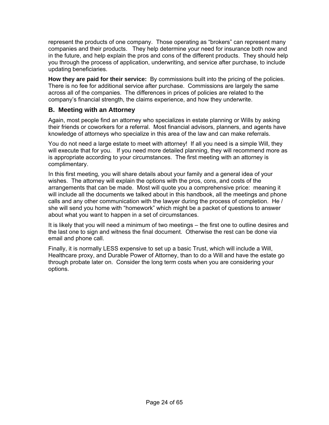represent the products of one company. Those operating as "brokers" can represent many companies and their products. They help determine your need for insurance both now and in the future, and help explain the pros and cons of the different products. They should help you through the process of application, underwriting, and service after purchase, to include updating beneficiaries.

**How they are paid for their service:** By commissions built into the pricing of the policies. There is no fee for additional service after purchase. Commissions are largely the same across all of the companies. The differences in prices of policies are related to the company's financial strength, the claims experience, and how they underwrite.

#### **B. Meeting with an Attorney**

Again, most people find an attorney who specializes in estate planning or Wills by asking their friends or coworkers for a referral. Most financial advisors, planners, and agents have knowledge of attorneys who specialize in this area of the law and can make referrals.

You do not need a large estate to meet with attorney! If all you need is a simple Will, they will execute that for you. If you need more detailed planning, they will recommend more as is appropriate according to your circumstances. The first meeting with an attorney is complimentary.

In this first meeting, you will share details about your family and a general idea of your wishes. The attorney will explain the options with the pros, cons, and costs of the arrangements that can be made. Most will quote you a comprehensive price: meaning it will include all the documents we talked about in this handbook, all the meetings and phone calls and any other communication with the lawyer during the process of completion. He / she will send you home with "homework" which might be a packet of questions to answer about what you want to happen in a set of circumstances.

It is likely that you will need a minimum of two meetings – the first one to outline desires and the last one to sign and witness the final document. Otherwise the rest can be done via email and phone call.

Finally, it is normally LESS expensive to set up a basic Trust, which will include a Will, Healthcare proxy, and Durable Power of Attorney, than to do a Will and have the estate go through probate later on. Consider the long term costs when you are considering your options.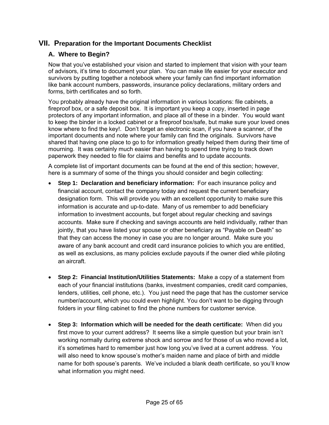#### <span id="page-24-0"></span>**VII. Preparation for the Important Documents Checklist**

#### **A. Where to Begin?**

Now that you've established your vision and started to implement that vision with your team of advisors, it's time to document your plan. You can make life easier for your executor and survivors by putting together a notebook where your family can find important information like bank account numbers, passwords, insurance policy declarations, military orders and forms, birth certificates and so forth.

You probably already have the original information in various locations: file cabinets, a fireproof box, or a safe deposit box. It is important you keep a copy, inserted in page protectors of any important information, and place all of these in a binder. You would want to keep the binder in a locked cabinet or a fireproof box/safe, but make sure your loved ones know where to find the key!. Don't forget an electronic scan, if you have a scanner, of the important documents and note where your family can find the originals. Survivors have shared that having one place to go to for information greatly helped them during their time of mourning. It was certainly much easier than having to spend time trying to track down paperwork they needed to file for claims and benefits and to update accounts.

A complete list of important documents can be found at the end of this section; however, here is a summary of some of the things you should consider and begin collecting:

- **Step 1: Declaration and beneficiary information:** For each insurance policy and financial account, contact the company today and request the current beneficiary designation form. This will provide you with an excellent opportunity to make sure this information is accurate and up-to-date. Many of us remember to add beneficiary information to investment accounts, but forget about regular checking and savings accounts. Make sure if checking and savings accounts are held individually, rather than jointly, that you have listed your spouse or other beneficiary as "Payable on Death" so that they can access the money in case you are no longer around. Make sure you aware of any bank account and credit card insurance policies to which you are entitled, as well as exclusions, as many policies exclude payouts if the owner died while piloting an aircraft.
- **Step 2: Financial Institution/Utilities Statements:** Make a copy of a statement from each of your financial institutions (banks, investment companies, credit card companies, lenders, utilities, cell phone, etc.). You just need the page that has the customer service number/account, which you could even highlight. You don't want to be digging through folders in your filing cabinet to find the phone numbers for customer service.
- **Step 3: Information which will be needed for the death certificate:** When did you first move to your current address? It seems like a simple question but your brain isn't working normally during extreme shock and sorrow and for those of us who moved a lot, it's sometimes hard to remember just how long you've lived at a current address. You will also need to know spouse's mother's maiden name and place of birth and middle name for both spouse's parents. We've included a blank death certificate, so you'll know what information you might need.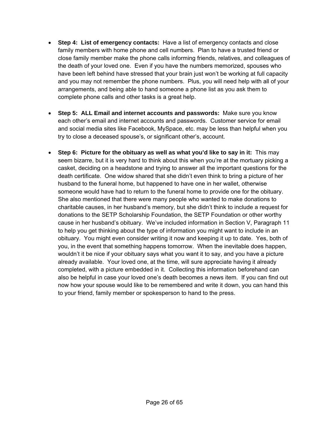- **Step 4: List of emergency contacts:** Have a list of emergency contacts and close family members with home phone and cell numbers. Plan to have a trusted friend or close family member make the phone calls informing friends, relatives, and colleagues of the death of your loved one. Even if you have the numbers memorized, spouses who have been left behind have stressed that your brain just won't be working at full capacity and you may not remember the phone numbers. Plus, you will need help with all of your arrangements, and being able to hand someone a phone list as you ask them to complete phone calls and other tasks is a great help.
- **Step 5: ALL Email and internet accounts and passwords:** Make sure you know each other's email and internet accounts and passwords. Customer service for email and social media sites like Facebook, MySpace, etc. may be less than helpful when you try to close a deceased spouse's, or significant other's, account.
- **Step 6: Picture for the obituary as well as what you'd like to say in it:** This may seem bizarre, but it is very hard to think about this when you're at the mortuary picking a casket, deciding on a headstone and trying to answer all the important questions for the death certificate. One widow shared that she didn't even think to bring a picture of her husband to the funeral home, but happened to have one in her wallet, otherwise someone would have had to return to the funeral home to provide one for the obituary. She also mentioned that there were many people who wanted to make donations to charitable causes, in her husband's memory, but she didn't think to include a request for donations to the SETP Scholarship Foundation, the SETP Foundation or other worthy cause in her husband's obituary. We've included information in Section V, Paragraph 11 to help you get thinking about the type of information you might want to include in an obituary. You might even consider writing it now and keeping it up to date. Yes, both of you, in the event that something happens tomorrow. When the inevitable does happen, wouldn't it be nice if your obituary says what you want it to say, and you have a picture already available. Your loved one, at the time, will sure appreciate having it already completed, with a picture embedded in it. Collecting this information beforehand can also be helpful in case your loved one's death becomes a news item. If you can find out now how your spouse would like to be remembered and write it down, you can hand this to your friend, family member or spokesperson to hand to the press.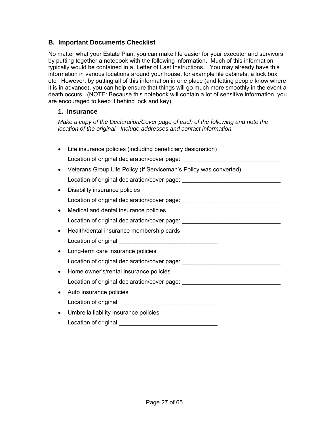#### **B. Important Documents Checklist**

No matter what your Estate Plan, you can make life easier for your executor and survivors by putting together a notebook with the following information. Much of this information typically would be contained in a "Letter of Last Instructions." You may already have this information in various locations around your house, for example file cabinets, a lock box, etc. However, by putting all of this information in one place (and letting people know where it is in advance), you can help ensure that things will go much more smoothly in the event a death occurs. (NOTE: Because this notebook will contain a lot of sensitive information, you are encouraged to keep it behind lock and key).

#### **1. Insurance**

*Make a copy of the Declaration/Cover page of each of the following and note the location of the original. Include addresses and contact information.* 

| Life insurance policies (including beneficiary designation)                      |
|----------------------------------------------------------------------------------|
| Location of original declaration/cover page:                                     |
| Veterans Group Life Policy (If Serviceman's Policy was converted)                |
| Location of original declaration/cover page: ___________________________________ |
| Disability insurance policies                                                    |
| Location of original declaration/cover page: ___________________________________ |
| Medical and dental insurance policies                                            |
| Location of original declaration/cover page: ___________________________________ |
| Health/dental insurance membership cards                                         |
|                                                                                  |
|                                                                                  |
| Long-term care insurance policies                                                |
| Location of original declaration/cover page: ___________________________________ |
| Home owner's/rental insurance policies                                           |
| Location of original declaration/cover page: ___________________________________ |
| Auto insurance policies                                                          |
|                                                                                  |
| Umbrella liability insurance policies                                            |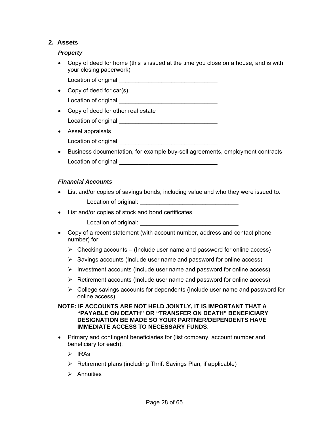#### **2. Assets**

#### *Property*

- Copy of deed for home (this is issued at the time you close on a house, and is with your closing paperwork)
	- Location of original **Exercise 20**
- Copy of deed for car(s) Location of original
- Copy of deed for other real estate Location of original \_\_\_\_\_\_\_\_\_\_\_\_\_\_\_\_\_\_\_\_\_\_\_\_\_\_\_\_\_\_
- Asset appraisals
	- Location of original
- Business documentation, for example buy-sell agreements, employment contracts Location of original **Exercise 20**

#### *Financial Accounts*

- List and/or copies of savings bonds, including value and who they were issued to. Location of original: \_\_\_\_\_\_\_\_\_\_\_\_\_\_\_\_\_\_\_\_\_\_\_\_\_\_\_\_\_\_
- List and/or copies of stock and bond certificates
	- Location of original:
- Copy of a recent statement (with account number, address and contact phone number) for:
	- $\triangleright$  Checking accounts (Include user name and password for online access)
	- $\triangleright$  Savings accounts (Include user name and password for online access)
	- $\triangleright$  Investment accounts (Include user name and password for online access)
	- $\triangleright$  Retirement accounts (Include user name and password for online access)
	- $\triangleright$  College savings accounts for dependents (Include user name and password for online access)

#### **NOTE: IF ACCOUNTS ARE NOT HELD JOINTLY, IT IS IMPORTANT THAT A "PAYABLE ON DEATH" OR "TRANSFER ON DEATH" BENEFICIARY DESIGNATION BE MADE SO YOUR PARTNER/DEPENDENTS HAVE IMMEDIATE ACCESS TO NECESSARY FUNDS**.

- Primary and contingent beneficiaries for (list company, account number and beneficiary for each):
	- ¾ IRAs
	- $\triangleright$  Retirement plans (including Thrift Savings Plan, if applicable)
	- $\triangleright$  Annuities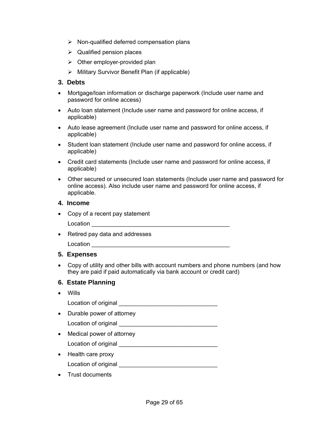- $\triangleright$  Non-qualified deferred compensation plans
- $\triangleright$  Qualified pension places
- $\triangleright$  Other employer-provided plan
- $\triangleright$  Military Survivor Benefit Plan (if applicable)

#### **3. Debts**

- Mortgage/loan information or discharge paperwork (Include user name and password for online access)
- Auto loan statement (Include user name and password for online access, if applicable)
- Auto lease agreement (Include user name and password for online access, if applicable)
- Student loan statement (Include user name and password for online access, if applicable)
- Credit card statements (Include user name and password for online access, if applicable)
- Other secured or unsecured loan statements (Include user name and password for online access). Also include user name and password for online access, if applicable.

#### **4. Income**

- Copy of a recent pay statement
	- Location \_\_\_\_\_\_\_\_\_\_\_\_\_\_\_\_\_\_\_\_\_\_\_\_\_\_\_\_\_\_\_\_\_\_\_\_\_\_\_\_\_\_
- Retired pay data and addresses

Location

#### **5. Expenses**

• Copy of utility and other bills with account numbers and phone numbers (and how they are paid if paid automatically via bank account or credit card)

#### **6. Estate Planning**

• Wills

Location of original \_\_\_\_\_\_\_\_\_\_\_\_\_\_\_\_\_\_\_\_\_\_\_\_\_\_\_\_\_\_

- Durable power of attorney
- Location of original \_\_\_\_\_\_\_\_\_\_\_\_\_\_\_\_\_\_\_\_\_\_\_\_\_\_\_\_\_\_
- Medical power of attorney
	- Location of original \_\_\_\_\_\_\_\_\_\_\_\_\_\_\_\_\_\_\_\_\_\_\_\_\_\_\_\_\_\_
- Health care proxy Location of original \_\_\_\_\_\_\_\_\_\_\_\_\_\_\_\_\_\_\_\_\_\_\_\_\_\_\_\_\_\_
- Trust documents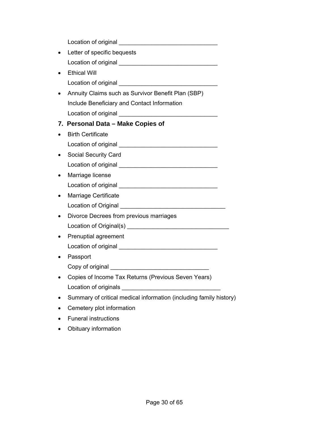| Letter of specific bequests                                        |
|--------------------------------------------------------------------|
|                                                                    |
| <b>Ethical Will</b>                                                |
|                                                                    |
| Annuity Claims such as Survivor Benefit Plan (SBP)                 |
| Include Beneficiary and Contact Information                        |
|                                                                    |
| 7. Personal Data - Make Copies of                                  |
| <b>Birth Certificate</b>                                           |
|                                                                    |
| <b>Social Security Card</b>                                        |
|                                                                    |
| Marriage license                                                   |
|                                                                    |
| Marriage Certificate                                               |
|                                                                    |
| Divorce Decrees from previous marriages                            |
|                                                                    |
| Prenuptial agreement                                               |
|                                                                    |
| Passport                                                           |
|                                                                    |
| Copies of Income Tax Returns (Previous Seven Years)                |
| Location of originals                                              |
| Summary of critical medical information (including family history) |
| Cemetery plot information                                          |
| <b>Funeral instructions</b>                                        |

• Obituary information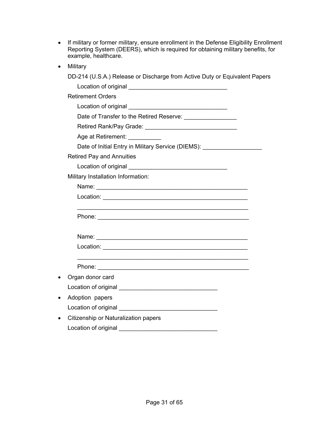| • If military or former military, ensure enrollment in the Defense Eligibility Enrollment |
|-------------------------------------------------------------------------------------------|
| Reporting System (DEERS), which is required for obtaining military benefits, for          |
| example, healthcare.                                                                      |

• Military

|           | DD-214 (U.S.A.) Release or Discharge from Active Duty or Equivalent Papers       |
|-----------|----------------------------------------------------------------------------------|
|           |                                                                                  |
|           | <b>Retirement Orders</b>                                                         |
|           |                                                                                  |
|           | Date of Transfer to the Retired Reserve: ___________________                     |
|           |                                                                                  |
|           | Age at Retirement: __________                                                    |
|           | Date of Initial Entry in Military Service (DIEMS): _____________________________ |
|           | <b>Retired Pay and Annuities</b>                                                 |
|           |                                                                                  |
|           | Military Installation Information:                                               |
|           |                                                                                  |
|           |                                                                                  |
|           |                                                                                  |
|           |                                                                                  |
|           |                                                                                  |
|           |                                                                                  |
|           |                                                                                  |
|           |                                                                                  |
|           |                                                                                  |
| $\bullet$ | Organ donor card                                                                 |
|           |                                                                                  |
| $\bullet$ | Adoption papers                                                                  |
|           |                                                                                  |
| $\bullet$ | Citizenship or Naturalization papers                                             |
|           | Location of original ________                                                    |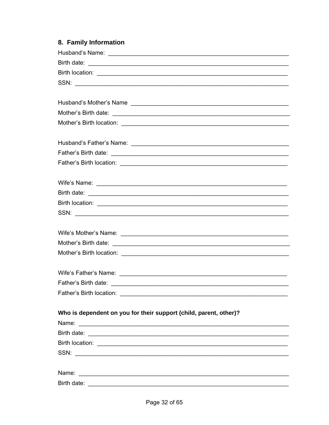# 8. Family Information

| SSN:                                                                                                                          |
|-------------------------------------------------------------------------------------------------------------------------------|
|                                                                                                                               |
|                                                                                                                               |
|                                                                                                                               |
|                                                                                                                               |
|                                                                                                                               |
|                                                                                                                               |
|                                                                                                                               |
|                                                                                                                               |
|                                                                                                                               |
| Who is dependent on you for their support (child, parent, other)?                                                             |
| Name:<br><u> 1989 - Andrea Santa Alemania, amerikana amerikana amerikana amerikana amerikana amerikana amerikana amerikan</u> |
|                                                                                                                               |
|                                                                                                                               |
| SSN:                                                                                                                          |
|                                                                                                                               |
|                                                                                                                               |
|                                                                                                                               |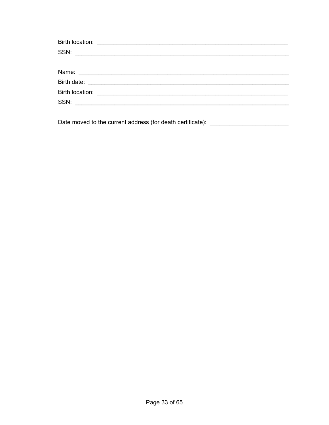Date moved to the current address (for death certificate): \_\_\_\_\_\_\_\_\_\_\_\_\_\_\_\_\_\_\_\_\_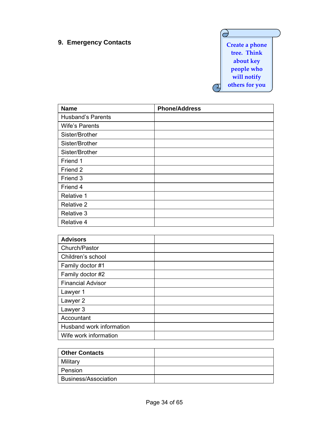# **9. Emergency Contacts CONTERN 2008 12 Create a phone**

 $\overline{\partial}$ **tree. Think about key people who will notify others for you**  $\Theta$ 

| <b>Name</b>              | <b>Phone/Address</b> |
|--------------------------|----------------------|
| <b>Husband's Parents</b> |                      |
| <b>Wife's Parents</b>    |                      |
| Sister/Brother           |                      |
| Sister/Brother           |                      |
| Sister/Brother           |                      |
| Friend 1                 |                      |
| Friend 2                 |                      |
| Friend 3                 |                      |
| Friend 4                 |                      |
| Relative 1               |                      |
| Relative 2               |                      |
| Relative 3               |                      |
| Relative 4               |                      |

| <b>Advisors</b>          |  |
|--------------------------|--|
| Church/Pastor            |  |
| Children's school        |  |
| Family doctor #1         |  |
| Family doctor #2         |  |
| <b>Financial Advisor</b> |  |
| Lawyer 1                 |  |
| Lawyer 2                 |  |
| Lawyer 3                 |  |
| Accountant               |  |
| Husband work information |  |
| Wife work information    |  |

| <b>Other Contacts</b>       |  |
|-----------------------------|--|
| Military                    |  |
| Pension                     |  |
| <b>Business/Association</b> |  |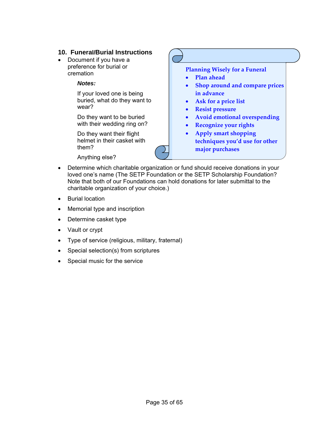#### **10. Funeral/Burial Instructions**

- Document if you have a preference for burial or cremation
	- *Notes:*

If your loved one is being buried, what do they want to wear?

Do they want to be buried with their wedding ring on?

Do they want their flight helmet in their casket with them?

Anything else?

**Planning Wisely for a Funeral** • **Plan ahead** • **Shop around and compare prices**

- **Ask for a price list**
- **Resist pressure**

**in advance**

- **Avoid emotional overspending**
- **Recognize your rights**
- **Apply smart shopping techniques you'd use for other major purchases**
- Determine which charitable organization or fund should receive donations in your loved one's name (The SETP Foundation or the SETP Scholarship Foundation? Note that both of our Foundations can hold donations for later submittal to the charitable organization of your choice.)
- Burial location
- Memorial type and inscription
- Determine casket type
- Vault or crypt
- Type of service (religious, military, fraternal)
- Special selection(s) from scriptures
- Special music for the service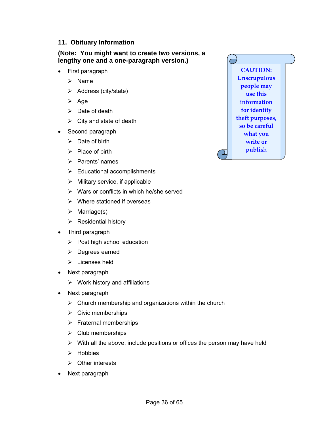#### **11. Obituary Information**

**(Note: You might want to create two versions, a lengthy one and a one-paragraph version.)**

- First paragraph
	- $\triangleright$  Name
	- $\triangleright$  Address (city/state)
	- $\triangleright$  Age
	- $\triangleright$  Date of death
	- $\triangleright$  City and state of death
- Second paragraph
	- $\triangleright$  Date of birth
	- $\triangleright$  Place of birth
	- $\triangleright$  Parents' names
	- $\triangleright$  Educational accomplishments
	- $\triangleright$  Military service, if applicable
	- $\triangleright$  Wars or conflicts in which he/she served
	- $\triangleright$  Where stationed if overseas
	- $\triangleright$  Marriage(s)
	- $\triangleright$  Residential history
- Third paragraph
	- $\triangleright$  Post high school education
	- ¾ Degrees earned
	- $\triangleright$  Licenses held
- Next paragraph
	- $\triangleright$  Work history and affiliations
- Next paragraph
	- $\triangleright$  Church membership and organizations within the church
	- $\triangleright$  Civic memberships
	- $\triangleright$  Fraternal memberships
	- $\triangleright$  Club memberships
	- $\triangleright$  With all the above, include positions or offices the person may have held
	- $\triangleright$  Hobbies
	- $\triangleright$  Other interests
- Next paragraph

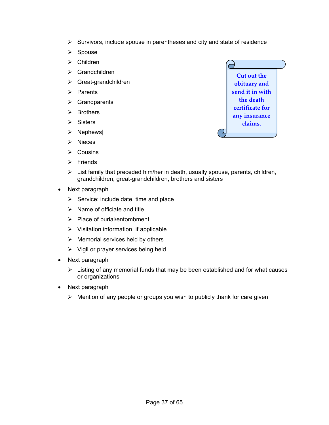- $\triangleright$  Survivors, include spouse in parentheses and city and state of residence
- $\triangleright$  Spouse
- $\triangleright$  Children
- 
- $\triangleright$  Great-grandchildren
- $\triangleright$  Parents
- $\triangleright$  Grandparents
- $\triangleright$  Brothers
- $\triangleright$  Sisters
- $\triangleright$  Nephews
- ¾ Nieces
- $\triangleright$  Cousins
- $\triangleright$  Friends



- $\triangleright$  List family that preceded him/her in death, usually spouse, parents, children, grandchildren, great-grandchildren, brothers and sisters
- Next paragraph
	- $\triangleright$  Service: include date, time and place
	- $\triangleright$  Name of officiate and title
	- $\triangleright$  Place of burial/entombment
	- $\triangleright$  Visitation information, if applicable
	- $\triangleright$  Memorial services held by others
	- $\triangleright$  Vigil or prayer services being held
- Next paragraph
	- $\triangleright$  Listing of any memorial funds that may be been established and for what causes or organizations
- Next paragraph
	- $\triangleright$  Mention of any people or groups you wish to publicly thank for care given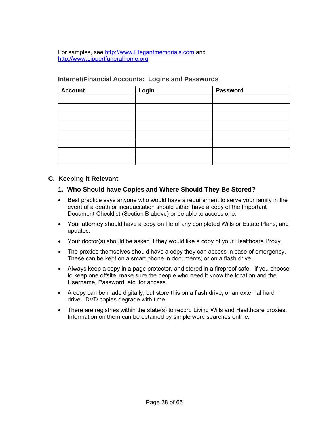For samples, see [http://www.Elegantmemorials.com](http://www.elegantmemorials.com/) and [http://www.Lippertfuneralhome.org](http://www.lippertfuneralhome.org/).

| <b>Account</b> | Login | <b>Password</b> |
|----------------|-------|-----------------|
|                |       |                 |
|                |       |                 |
|                |       |                 |
|                |       |                 |
|                |       |                 |
|                |       |                 |
|                |       |                 |
|                |       |                 |

#### **Internet/Financial Accounts: Logins and Passwords**

#### **C. Keeping it Relevant**

#### **1. Who Should have Copies and Where Should They Be Stored?**

- Best practice says anyone who would have a requirement to serve your family in the event of a death or incapacitation should either have a copy of the Important Document Checklist (Section B above) or be able to access one.
- Your attorney should have a copy on file of any completed Wills or Estate Plans, and updates.
- Your doctor(s) should be asked if they would like a copy of your Healthcare Proxy.
- The proxies themselves should have a copy they can access in case of emergency. These can be kept on a smart phone in documents, or on a flash drive.
- Always keep a copy in a page protector, and stored in a fireproof safe. If you choose to keep one offsite, make sure the people who need it know the location and the Username, Password, etc. for access.
- A copy can be made digitally, but store this on a flash drive, or an external hard drive. DVD copies degrade with time.
- There are registries within the state(s) to record Living Wills and Healthcare proxies. Information on them can be obtained by simple word searches online.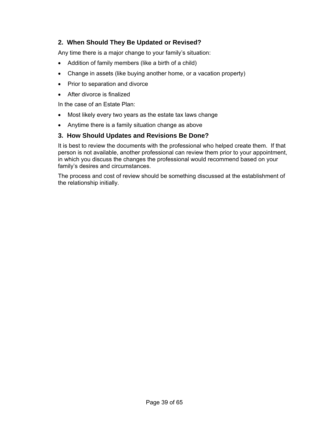#### **2. When Should They Be Updated or Revised?**

Any time there is a major change to your family's situation:

- Addition of family members (like a birth of a child)
- Change in assets (like buying another home, or a vacation property)
- Prior to separation and divorce
- After divorce is finalized

In the case of an Estate Plan:

- Most likely every two years as the estate tax laws change
- Anytime there is a family situation change as above

#### **3. How Should Updates and Revisions Be Done?**

It is best to review the documents with the professional who helped create them. If that person is not available, another professional can review them prior to your appointment, in which you discuss the changes the professional would recommend based on your family's desires and circumstances.

The process and cost of review should be something discussed at the establishment of the relationship initially.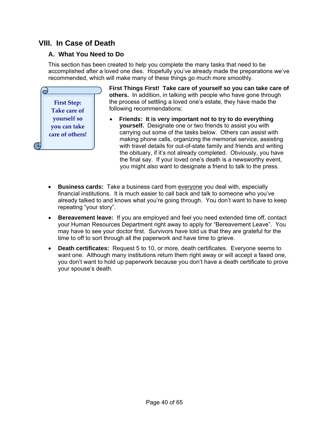# <span id="page-39-0"></span>**VIII. In Case of Death**

#### **A. What You Need to Do**

This section has been created to help you complete the many tasks that need to be accomplished after a loved one dies. Hopefully you've already made the preparations we've recommended, which will make many of these things go much more smoothly.



**First Things First! Take care of yourself so you can take care of others.** In addition, in talking with people who have gone through the process of settling a loved one's estate, they have made the following recommendations:

- **Friends: It is very important not to try to do everything yourself.** Designate one or two friends to assist you with carrying out some of the tasks below. Others can assist with making phone calls, organizing the memorial service, assisting with travel details for out-of-state family and friends and writing the obituary, if it's not already completed. Obviously, you have the final say. If your loved one's death is a newsworthy event, you might also want to designate a friend to talk to the press.
- **Business cards:** Take a business card from everyone you deal with, especially financial institutions. It is much easier to call back and talk to someone who you've already talked to and knows what you're going through. You don't want to have to keep repeating "your story".
- **Bereavement leave:** If you are employed and feel you need extended time off, contact your Human Resources Department right away to apply for "Bereavement Leave". You may have to see your doctor first. Survivors have told us that they are grateful for the time to off to sort through all the paperwork and have time to grieve.
- **Death certificates:** Request 5 to 10, or more, death certificates. Everyone seems to want one. Although many institutions return them right away or will accept a faxed one, you don't want to hold up paperwork because you don't have a death certificate to prove your spouse's death.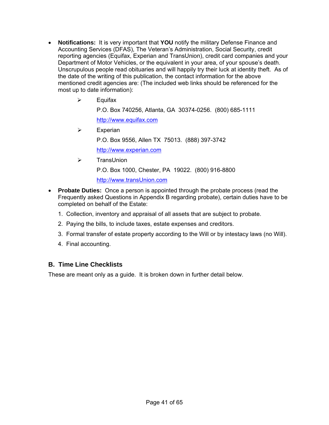- **Notifications:** It is very important that **YOU** notify the military Defense Finance and Accounting Services (DFAS), The Veteran's Administration, Social Security, credit reporting agencies (Equifax, Experian and TransUnion), credit card companies and your Department of Motor Vehicles, or the equivalent in your area, of your spouse's death. Unscrupulous people read obituaries and will happily try their luck at identity theft. As of the date of the writing of this publication, the contact information for the above mentioned credit agencies are: (The included web links should be referenced for the most up to date information):
	- $\triangleright$  Equifax

P.O. Box 740256, Atlanta, GA 30374-0256. (800) 685-1111

[http://www.equifax.com](http://www.equifax.com/)

 $\triangleright$  Experian

P.O. Box 9556, Allen TX 75013. (888) 397-3742

[http://www.experian.com](http://www.experian.com/)

¾ TransUnion

P.O. Box 1000, Chester, PA 19022. (800) 916-8800

[http://www.transUnion.com](http://www.transunion.com/)

- **Probate Duties:** Once a person is appointed through the probate process (read the Frequently asked Questions in Appendix B regarding probate), certain duties have to be completed on behalf of the Estate:
	- 1. Collection, inventory and appraisal of all assets that are subject to probate.
	- 2. Paying the bills, to include taxes, estate expenses and creditors.
	- 3. Formal transfer of estate property according to the Will or by intestacy laws (no Will).
	- 4. Final accounting.

#### **B. Time Line Checklists**

These are meant only as a guide. It is broken down in further detail below.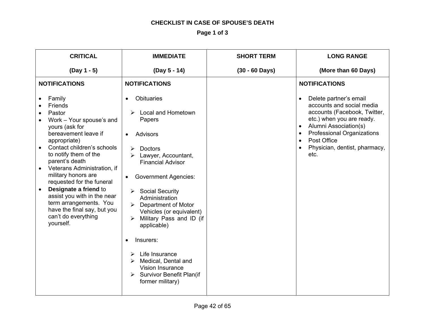#### **CHECKLIST IN CASE OF SPOUSE'S DEATH**

**Page 1 of 3** 

| <b>CRITICAL</b>                                                                                                                                                                                                                                                                                                                                                                                                                                 | <b>IMMEDIATE</b>                                                                                                                                                                                                                                                                                                                                                                                                                                                                                                                   | <b>SHORT TERM</b>        | <b>LONG RANGE</b>                                                                                                                                                                                                                                   |
|-------------------------------------------------------------------------------------------------------------------------------------------------------------------------------------------------------------------------------------------------------------------------------------------------------------------------------------------------------------------------------------------------------------------------------------------------|------------------------------------------------------------------------------------------------------------------------------------------------------------------------------------------------------------------------------------------------------------------------------------------------------------------------------------------------------------------------------------------------------------------------------------------------------------------------------------------------------------------------------------|--------------------------|-----------------------------------------------------------------------------------------------------------------------------------------------------------------------------------------------------------------------------------------------------|
| $(Day 1 - 5)$                                                                                                                                                                                                                                                                                                                                                                                                                                   | (Day 5 - 14)                                                                                                                                                                                                                                                                                                                                                                                                                                                                                                                       | $(30 - 60 \text{ Days})$ | (More than 60 Days)                                                                                                                                                                                                                                 |
| <b>NOTIFICATIONS</b>                                                                                                                                                                                                                                                                                                                                                                                                                            | <b>NOTIFICATIONS</b>                                                                                                                                                                                                                                                                                                                                                                                                                                                                                                               |                          | <b>NOTIFICATIONS</b>                                                                                                                                                                                                                                |
| Family<br>Friends<br>Pastor<br>Work - Your spouse's and<br>yours (ask for<br>bereavement leave if<br>appropriate)<br>Contact children's schools<br>to notify them of the<br>parent's death<br>Veterans Administration, if<br>military honors are<br>requested for the funeral<br>Designate a friend to<br>$\bullet$<br>assist you with in the near<br>term arrangements. You<br>have the final say, but you<br>can't do everything<br>yourself. | <b>Obituaries</b><br>$\bullet$<br><b>Local and Hometown</b><br>≻<br>Papers<br>Advisors<br><b>Doctors</b><br>⋗<br>Lawyer, Accountant,<br><b>Financial Advisor</b><br><b>Government Agencies:</b><br>$\bullet$<br><b>Social Security</b><br>➤<br>Administration<br>Department of Motor<br>⋗<br>Vehicles (or equivalent)<br>Military Pass and ID (if<br>➤<br>applicable)<br>Insurers:<br>$\bullet$<br>Life Insurance<br>➤<br>Medical, Dental and<br>➤<br>Vision Insurance<br><b>Survivor Benefit Plan(if</b><br>➤<br>former military) |                          | Delete partner's email<br>$\bullet$<br>accounts and social media<br>accounts (Facebook, Twitter,<br>etc.) when you are ready.<br>Alumni Association(s)<br><b>Professional Organizations</b><br>Post Office<br>Physician, dentist, pharmacy,<br>etc. |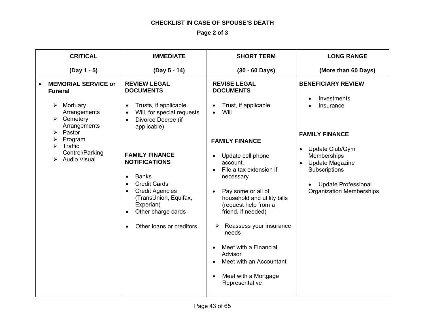#### **CHECKLIST IN CASE OF SPOUSE'S DEATH**

**Page 2 of 3** 

| <b>CRITICAL</b>                                                                                                                                                                          | <b>IMMEDIATE</b>                                                                                                                                                                                                                                                                                                                                                                                                            | <b>SHORT TERM</b>                                                                                                                                                                                                                                                                                                                                                                                                                                                                               | <b>LONG RANGE</b>                                                                                                                                                                                                                         |
|------------------------------------------------------------------------------------------------------------------------------------------------------------------------------------------|-----------------------------------------------------------------------------------------------------------------------------------------------------------------------------------------------------------------------------------------------------------------------------------------------------------------------------------------------------------------------------------------------------------------------------|-------------------------------------------------------------------------------------------------------------------------------------------------------------------------------------------------------------------------------------------------------------------------------------------------------------------------------------------------------------------------------------------------------------------------------------------------------------------------------------------------|-------------------------------------------------------------------------------------------------------------------------------------------------------------------------------------------------------------------------------------------|
| $(Day 1 - 5)$                                                                                                                                                                            | (Day 5 - 14)                                                                                                                                                                                                                                                                                                                                                                                                                | $(30 - 60 \text{ Days})$                                                                                                                                                                                                                                                                                                                                                                                                                                                                        | (More than 60 Days)                                                                                                                                                                                                                       |
| <b>MEMORIAL SERVICE or</b><br><b>Funeral</b><br>Mortuary<br>➤<br>Arrangements<br>Cemetery<br>Arrangements<br>Pastor<br>⋗<br>Program<br>Traffic<br>Control/Parking<br><b>Audio Visual</b> | <b>REVIEW LEGAL</b><br><b>DOCUMENTS</b><br>Trusts, if applicable<br>$\bullet$<br>Will, for special requests<br>Divorce Decree (if<br>$\bullet$<br>applicable)<br><b>FAMILY FINANCE</b><br><b>NOTIFICATIONS</b><br><b>Banks</b><br>$\bullet$<br><b>Credit Cards</b><br>$\bullet$<br><b>Credit Agencies</b><br>(TransUnion, Equifax,<br>Experian)<br>Other charge cards<br>$\bullet$<br>Other loans or creditors<br>$\bullet$ | <b>REVISE LEGAL</b><br><b>DOCUMENTS</b><br>Trust, if applicable<br>Will<br><b>FAMILY FINANCE</b><br>Update cell phone<br>$\bullet$<br>account.<br>File a tax extension if<br>$\bullet$<br>necessary<br>Pay some or all of<br>$\bullet$<br>household and utility bills<br>(request help from a<br>friend, if needed)<br>Reassess your insurance<br>➤<br>needs<br>Meet with a Financial<br>$\bullet$<br>Advisor<br>Meet with an Accountant<br>Meet with a Mortgage<br>$\bullet$<br>Representative | <b>BENEFICIARY REVIEW</b><br>Investments<br>Insurance<br><b>FAMILY FINANCE</b><br>Update Club/Gym<br>$\bullet$<br>Memberships<br><b>Update Magazine</b><br>Subscriptions<br><b>Update Professional</b><br><b>Organization Memberships</b> |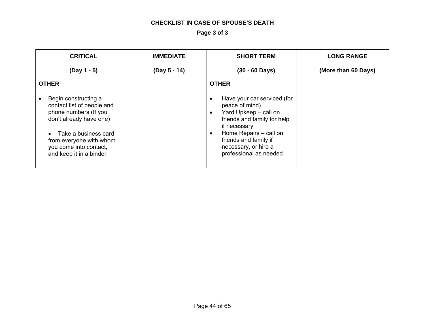#### **CHECKLIST IN CASE OF SPOUSE'S DEATH**

**Page 3 of 3** 

| <b>CRITICAL</b>                                                                                                                                                                                                | <b>IMMEDIATE</b> | <b>SHORT TERM</b>                                                                                                                                                                                                                                    | <b>LONG RANGE</b>   |
|----------------------------------------------------------------------------------------------------------------------------------------------------------------------------------------------------------------|------------------|------------------------------------------------------------------------------------------------------------------------------------------------------------------------------------------------------------------------------------------------------|---------------------|
| $(Day 1 - 5)$                                                                                                                                                                                                  | (Day 5 - 14)     | $(30 - 60 \text{ Days})$                                                                                                                                                                                                                             | (More than 60 Days) |
| <b>OTHER</b>                                                                                                                                                                                                   |                  | <b>OTHER</b>                                                                                                                                                                                                                                         |                     |
| Begin constructing a<br>contact list of people and<br>phone numbers (If you<br>don't already have one)<br>Take a business card<br>from everyone with whom<br>you come into contact,<br>and keep it in a binder |                  | Have your car serviced (for<br>peace of mind)<br>Yard Upkeep - call on<br>$\bullet$<br>friends and family for help<br>if necessary<br>Home Repairs - call on<br>$\bullet$<br>friends and family if<br>necessary, or hire a<br>professional as needed |                     |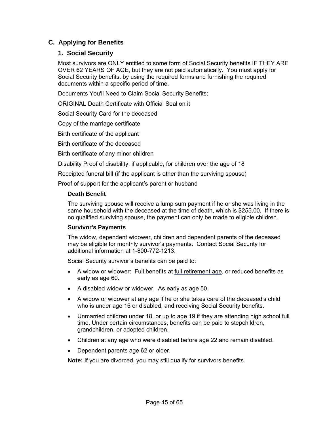#### **C. Applying for Benefits**

#### **1. Social Security**

Most survivors are ONLY entitled to some form of Social Security benefits IF THEY ARE OVER 62 YEARS OF AGE, but they are not paid automatically. You must apply for Social Security benefits, by using the required forms and furnishing the required documents within a specific period of time.

Documents You'll Need to Claim Social Security Benefits:

ORIGINAL Death Certificate with Official Seal on it

Social Security Card for the deceased

Copy of the marriage certificate

Birth certificate of the applicant

Birth certificate of the deceased

Birth certificate of any minor children

Disability Proof of disability, if applicable, for children over the age of 18

Receipted funeral bill (if the applicant is other than the surviving spouse)

Proof of support for the applicant's parent or husband

#### **Death Benefit**

The surviving spouse will receive a lump sum payment if he or she was living in the same household with the deceased at the time of death, which is \$255.00. If there is no qualified surviving spouse, the payment can only be made to eligible children.

#### **Survivor's Payments**

The widow, dependent widower, children and dependent parents of the deceased may be eligible for monthly survivor's payments. Contact Social Security for additional information at 1-800-772-1213.

Social Security survivor's benefits can be paid to:

- A widow or widower: Full benefits at [full retirement age,](http://www.ssa.gov/survivorplan/survivorchartred.htm) or reduced benefits as early as age 60.
- A disabled widow or widower: As early as age 50.
- A widow or widower at any age if he or she takes care of the deceased's child who is under age 16 or disabled, and receiving Social Security benefits.
- Unmarried children under 18, or up to age 19 if they are attending high school full time. Under certain circumstances, benefits can be paid to stepchildren, grandchildren, or adopted children.
- Children at any age who were disabled before age 22 and remain disabled.
- Dependent parents age 62 or older.

**Note:** [If you are divorced,](http://www.ssa.gov/survivorplan/ww&os2.htm#divorce) you may still qualify for survivors benefits.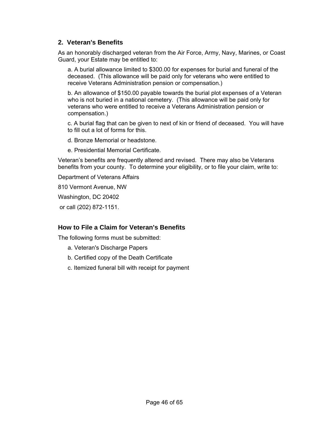#### **2. Veteran's Benefits**

As an honorably discharged veteran from the Air Force, Army, Navy, Marines, or Coast Guard, your Estate may be entitled to:

a. A burial allowance limited to \$300.00 for expenses for burial and funeral of the deceased. (This allowance will be paid only for veterans who were entitled to receive Veterans Administration pension or compensation.)

b. An allowance of \$150.00 payable towards the burial plot expenses of a Veteran who is not buried in a national cemetery. (This allowance will be paid only for veterans who were entitled to receive a Veterans Administration pension or compensation.)

c. A burial flag that can be given to next of kin or friend of deceased. You will have to fill out a lot of forms for this.

d. Bronze Memorial or headstone.

e. Presidential Memorial Certificate.

Veteran's benefits are frequently altered and revised. There may also be Veterans benefits from your county. To determine your eligibility, or to file your claim, write to:

Department of Veterans Affairs

810 Vermont Avenue, NW

Washington, DC 20402

or call (202) 872-1151.

#### **How to File a Claim for Veteran's Benefits**

The following forms must be submitted:

- a. Veteran's Discharge Papers
- b. Certified copy of the Death Certificate
- c. Itemized funeral bill with receipt for payment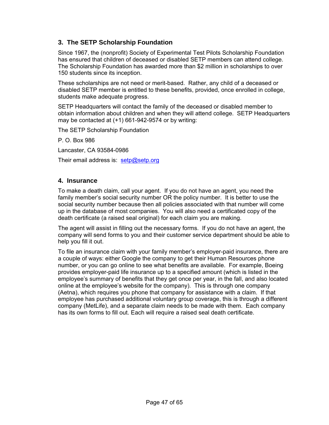#### **3. The SETP Scholarship Foundation**

Since 1967, the (nonprofit) Society of Experimental Test Pilots Scholarship Foundation has ensured that children of deceased or disabled SETP members can attend college. The Scholarship Foundation has awarded more than \$2 million in scholarships to over 150 students since its inception.

These scholarships are not need or merit-based. Rather, any child of a deceased or disabled SETP member is entitled to these benefits, provided, once enrolled in college, students make adequate progress.

SETP Headquarters will contact the family of the deceased or disabled member to obtain information about children and when they will attend college. SETP Headquarters may be contacted at  $(+1)$  661-942-9574 or by writing:

The SETP Scholarship Foundation

P. O. Box 986

Lancaster, CA 93584-0986

Their email address is: [setp@setp.org](mailto:setp@setp.org)

#### **4. Insurance**

To make a death claim, call your agent. If you do not have an agent, you need the family member's social security number OR the policy number. It is better to use the social security number because then all policies associated with that number will come up in the database of most companies. You will also need a certificated copy of the death certificate (a raised seal original) for each claim you are making.

The agent will assist in filling out the necessary forms. If you do not have an agent, the company will send forms to you and their customer service department should be able to help you fill it out.

To file an insurance claim with your family member's employer-paid insurance, there are a couple of ways: either Google the company to get their Human Resources phone number, or you can go online to see what benefits are available. For example, Boeing provides employer-paid life insurance up to a specified amount (which is listed in the employee's summary of benefits that they get once per year, in the fall, and also located online at the employee's website for the company). This is through one company (Aetna), which requires you phone that company for assistance with a claim. If that employee has purchased additional voluntary group coverage, this is through a different company (MetLife), and a separate claim needs to be made with them. Each company has its own forms to fill out. Each will require a raised seal death certificate.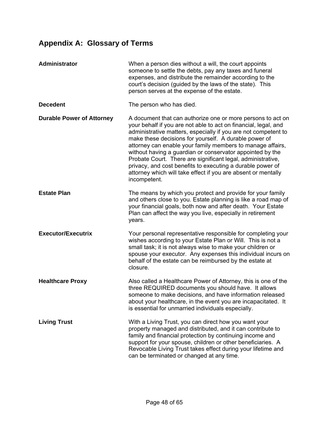# <span id="page-47-0"></span>**Appendix A: Glossary of Terms**

| Administrator                    | When a person dies without a will, the court appoints<br>someone to settle the debts, pay any taxes and funeral<br>expenses, and distribute the remainder according to the<br>court's decision (guided by the laws of the state). This<br>person serves at the expense of the estate.                                                                                                                                                                                                                                                                                                              |
|----------------------------------|----------------------------------------------------------------------------------------------------------------------------------------------------------------------------------------------------------------------------------------------------------------------------------------------------------------------------------------------------------------------------------------------------------------------------------------------------------------------------------------------------------------------------------------------------------------------------------------------------|
| <b>Decedent</b>                  | The person who has died.                                                                                                                                                                                                                                                                                                                                                                                                                                                                                                                                                                           |
| <b>Durable Power of Attorney</b> | A document that can authorize one or more persons to act on<br>your behalf if you are not able to act on financial, legal, and<br>administrative matters, especially if you are not competent to<br>make these decisions for yourself. A durable power of<br>attorney can enable your family members to manage affairs,<br>without having a guardian or conservator appointed by the<br>Probate Court. There are significant legal, administrative,<br>privacy, and cost benefits to executing a durable power of<br>attorney which will take effect if you are absent or mentally<br>incompetent. |
| <b>Estate Plan</b>               | The means by which you protect and provide for your family<br>and others close to you. Estate planning is like a road map of<br>your financial goals, both now and after death. Your Estate<br>Plan can affect the way you live, especially in retirement<br>years.                                                                                                                                                                                                                                                                                                                                |
| <b>Executor/Executrix</b>        | Your personal representative responsible for completing your<br>wishes according to your Estate Plan or Will. This is not a<br>small task; it is not always wise to make your children or<br>spouse your executor. Any expenses this individual incurs on<br>behalf of the estate can be reimbursed by the estate at<br>closure.                                                                                                                                                                                                                                                                   |
| <b>Healthcare Proxy</b>          | Also called a Healthcare Power of Attorney, this is one of the<br>three REQUIRED documents you should have. It allows<br>someone to make decisions, and have information released<br>about your healthcare, in the event you are incapacitated. It<br>is essential for unmarried individuals especially.                                                                                                                                                                                                                                                                                           |
| <b>Living Trust</b>              | With a Living Trust, you can direct how you want your<br>property managed and distributed, and it can contribute to<br>family and financial protection by continuing income and<br>support for your spouse, children or other beneficiaries. A<br>Revocable Living Trust takes effect during your lifetime and<br>can be terminated or changed at any time.                                                                                                                                                                                                                                        |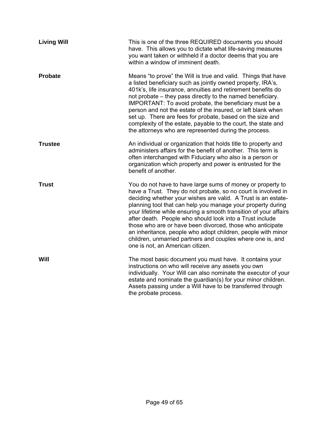| <b>Living Will</b> | This is one of the three REQUIRED documents you should<br>have. This allows you to dictate what life-saving measures<br>you want taken or withheld if a doctor deems that you are<br>within a window of imminent death.                                                                                                                                                                                                                                                                                                                                                                                                    |
|--------------------|----------------------------------------------------------------------------------------------------------------------------------------------------------------------------------------------------------------------------------------------------------------------------------------------------------------------------------------------------------------------------------------------------------------------------------------------------------------------------------------------------------------------------------------------------------------------------------------------------------------------------|
| <b>Probate</b>     | Means "to prove" the Will is true and valid. Things that have<br>a listed beneficiary such as jointly owned property, IRA's,<br>401k's, life insurance, annuities and retirement benefits do<br>not probate – they pass directly to the named beneficiary.<br>IMPORTANT: To avoid probate, the beneficiary must be a<br>person and not the estate of the insured, or left blank when<br>set up. There are fees for probate, based on the size and<br>complexity of the estate, payable to the court, the state and<br>the attorneys who are represented during the process.                                                |
| <b>Trustee</b>     | An individual or organization that holds title to property and<br>administers affairs for the benefit of another. This term is<br>often interchanged with Fiduciary who also is a person or<br>organization which property and power is entrusted for the<br>benefit of another.                                                                                                                                                                                                                                                                                                                                           |
| <b>Trust</b>       | You do not have to have large sums of money or property to<br>have a Trust. They do not probate, so no court is involved in<br>deciding whether your wishes are valid. A Trust is an estate-<br>planning tool that can help you manage your property during<br>your lifetime while ensuring a smooth transition of your affairs<br>after death. People who should look into a Trust include<br>those who are or have been divorced, those who anticipate<br>an inheritance, people who adopt children, people with minor<br>children, unmarried partners and couples where one is, and<br>one is not, an American citizen. |
| Will               | The most basic document you must have. It contains your<br>instructions on who will receive any assets you own<br>individually. Your Will can also nominate the executor of your<br>estate and nominate the guardian(s) for your minor children.<br>Assets passing under a Will have to be transferred through<br>the probate process.                                                                                                                                                                                                                                                                                     |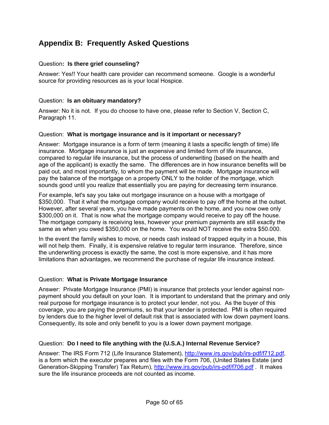# <span id="page-49-0"></span>**Appendix B: Frequently Asked Questions**

#### Question**: Is there grief counseling?**

Answer: Yes!! Your health care provider can recommend someone. Google is a wonderful source for providing resources as is your local Hospice.

#### Question: **Is an obituary mandatory?**

Answer: No it is not. If you do choose to have one, please refer to Section V, Section C, Paragraph 11.

#### Question: **What is mortgage insurance and is it important or necessary?**

Answer: Mortgage insurance is a form of term (meaning it lasts a specific length of time) life insurance. Mortgage insurance is just an expensive and limited form of life insurance, compared to regular life insurance, but the process of underwriting (based on the health and age of the applicant) is exactly the same. The differences are in how insurance benefits will be paid out, and most importantly, to whom the payment will be made. Mortgage insurance will pay the balance of the mortgage on a property ONLY to the holder of the mortgage, which sounds good until you realize that essentially you are paying for decreasing term insurance.

For example, let's say you take out mortgage insurance on a house with a mortgage of \$350,000. That it what the mortgage company would receive to pay off the home at the outset. However, after several years, you have made payments on the home, and you now owe only \$300,000 on it. That is now what the mortgage company would receive to pay off the house. The mortgage company is receiving less, however your premium payments are still exactly the same as when you owed \$350,000 on the home. You would NOT receive the extra \$50.000.

In the event the family wishes to move, or needs cash instead of trapped equity in a house, this will not help them. Finally, it is expensive relative to regular term insurance. Therefore, since the underwriting process is exactly the same, the cost is more expensive, and it has more limitations than advantages, we recommend the purchase of regular life insurance instead.

#### Question: **What is Private Mortgage Insurance**

Answer: Private Mortgage Insurance (PMI) is insurance that protects your lender against nonpayment should you default on your loan. It is important to understand that the primary and only real purpose for mortgage insurance is to protect your lender, not you. As the buyer of this coverage, you are paying the premiums, so that your lender is protected. PMI is often required by lenders due to the higher level of default risk that is associated with low down payment loans. Consequently, its sole and only benefit to you is a lower down payment mortgage.

#### Question: **Do I need to file anything with the (U.S.A.) Internal Revenue Service?**

Answer: The IRS Form 712 (Life Insurance Statement), [http://www.irs.gov/pub/irs-pdf/f712.pdf,](http://www.irs.gov/pub/irs-pdf/f712.pdf) is a form which the executor prepares and files with the Form 706, (United States Estate (and Generation-Skipping Transfer) Tax Return),<http://www.irs.gov/pub/irs-pdf/f706.pdf>. It makes sure the life insurance proceeds are not counted as income.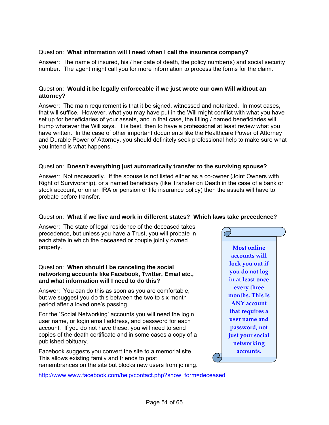#### Question: **What information will I need when I call the insurance company?**

Answer: The name of insured, his / her date of death, the policy number(s) and social security number. The agent might call you for more information to process the forms for the claim.

#### Question: **Would it be legally enforceable if we just wrote our own Will without an attorney?**

Answer: The main requirement is that it be signed, witnessed and notarized. In most cases, that will suffice. However, what you may have put in the Will might conflict with what you have set up for beneficiaries of your assets, and in that case, the titling / named beneficiaries will trump whatever the Will says. It is best, then to have a professional at least review what you have written. In the case of other important documents like the Healthcare Power of Attorney and Durable Power of Attorney, you should definitely seek professional help to make sure what you intend is what happens.

#### Question: **Doesn't everything just automatically transfer to the surviving spouse?**

Answer: Not necessarily. If the spouse is not listed either as a co-owner (Joint Owners with Right of Survivorship), or a named beneficiary (like Transfer on Death in the case of a bank or stock account, or on an IRA or pension or life insurance policy) then the assets will have to probate before transfer.

#### Question: **What if we live and work in different states? Which laws take precedence?**

Answer: The state of legal residence of the deceased takes precedence, but unless you have a Trust, you will probate in each state in which the deceased or couple jointly owned property. **Most online**

#### Question: **When should I be canceling the social networking accounts like Facebook, Twitter, Email etc., and what information will I need to do this?**

Answer: You can do this as soon as you are comfortable, but we suggest you do this between the two to six month period after a loved one's passing.

For the 'Social Networking' accounts you will need the login user name, or login email address, and password for each account. If you do not have these, you will need to send copies of the death certificate and in some cases a copy of a published obituary.

Facebook suggests you convert the site to a memorial site. This allows existing family and friends to post remembrances on the site but blocks new users from joining.

[http://www.www.facebook.com/help/contact.php?show\\_form=deceased](http://www.www.facebook.com/help/contact.php?show_form=deceased)

**accounts will lock you out if you do not log in at least once every three months. This is ANY account that requires a user name and password, not just your social networking accounts.**

 $\mathfrak{D}% _{T}=\mathfrak{D}_{T}\!\left( a,b\right) ,$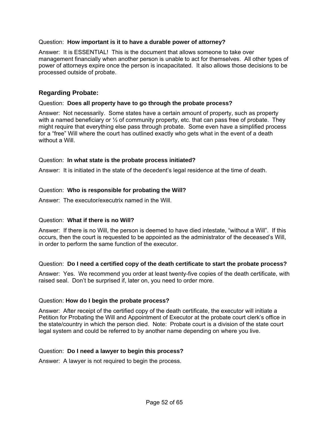#### Question: **How important is it to have a durable power of attorney?**

Answer: It is ESSENTIAL! This is the document that allows someone to take over management financially when another person is unable to act for themselves. All other types of power of attorneys expire once the person is incapacitated. It also allows those decisions to be processed outside of probate.

#### **Regarding Probate:**

#### Question: **Does all property have to go through the probate process?**

Answer: Not necessarily. Some states have a certain amount of property, such as property with a named beneficiary or  $\frac{1}{2}$  of community property, etc. that can pass free of probate. They might require that everything else pass through probate. Some even have a simplified process for a "free" Will where the court has outlined exactly who gets what in the event of a death without a Will.

#### Question: **In what state is the probate process initiated?**

Answer: It is initiated in the state of the decedent's legal residence at the time of death.

#### Question: **Who is responsible for probating the Will?**

Answer: The executor/executrix named in the Will.

#### Question: **What if there is no Will?**

Answer: If there is no Will, the person is deemed to have died intestate, "without a Will". If this occurs, then the court is requested to be appointed as the administrator of the deceased's Will, in order to perform the same function of the executor.

#### Question: **Do I need a certified copy of the death certificate to start the probate process?**

Answer: Yes. We recommend you order at least twenty-five copies of the death certificate, with raised seal. Don't be surprised if, later on, you need to order more.

#### Question: **How do I begin the probate process?**

Answer: After receipt of the certified copy of the death certificate, the executor will initiate a Petition for Probating the Will and Appointment of Executor at the probate court clerk's office in the state/country in which the person died. Note: Probate court is a division of the state court legal system and could be referred to by another name depending on where you live.

#### Question: **Do I need a lawyer to begin this process?**

Answer: A lawyer is not required to begin the process.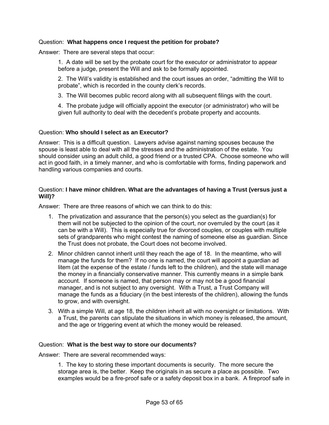#### Question: **What happens once I request the petition for probate?**

Answer: There are several steps that occur:

1. A date will be set by the probate court for the executor or administrator to appear before a judge, present the Will and ask to be formally appointed.

2. The Will's validity is established and the court issues an order, "admitting the Will to probate", which is recorded in the county clerk's records.

3. The Will becomes public record along with all subsequent filings with the court.

4. The probate judge will officially appoint the executor (or administrator) who will be given full authority to deal with the decedent's probate property and accounts.

#### Question: **Who should I select as an Executor?**

Answer: This is a difficult question. Lawyers advise against naming spouses because the spouse is least able to deal with all the stresses and the administration of the estate. You should consider using an adult child, a good friend or a trusted CPA. Choose someone who will act in good faith, in a timely manner, and who is comfortable with forms, finding paperwork and handling various companies and courts.

#### Question: **I have minor children. What are the advantages of having a Trust (versus just a Will)?**

Answer: There are three reasons of which we can think to do this:

- 1. The privatization and assurance that the person(s) you select as the guardian(s) for them will not be subjected to the opinion of the court, nor overruled by the court (as it can be with a Will). This is especially true for divorced couples, or couples with multiple sets of grandparents who might contest the naming of someone else as guardian. Since the Trust does not probate, the Court does not become involved.
- 2. Minor children cannot inherit until they reach the age of 18. In the meantime, who will manage the funds for them? If no one is named, the court will appoint a guardian ad litem (at the expense of the estate / funds left to the children), and the state will manage the money in a financially conservative manner. This currently means in a simple bank account. If someone is named, that person may or may not be a good financial manager, and is not subject to any oversight. With a Trust, a Trust Company will manage the funds as a fiduciary (in the best interests of the children), allowing the funds to grow, and with oversight.
- 3. With a simple Will, at age 18, the children inherit all with no oversight or limitations. With a Trust, the parents can stipulate the situations in which money is released, the amount, and the age or triggering event at which the money would be released.

#### Question: **What is the best way to store our documents?**

Answer: There are several recommended ways:

1. The key to storing these important documents is security. The more secure the storage area is, the better. Keep the originals in as secure a place as possible. Two examples would be a fire-proof safe or a safety deposit box in a bank. A fireproof safe in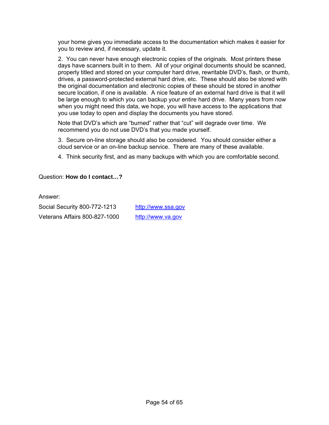your home gives you immediate access to the documentation which makes it easier for you to review and, if necessary, update it.

2. You can never have enough electronic copies of the originals. Most printers these days have scanners built in to them. All of your original documents should be scanned, properly titled and stored on your computer hard drive, rewritable DVD's, flash, or thumb, drives, a password-protected external hard drive, etc. These should also be stored with the original documentation and electronic copies of these should be stored in another secure location, if one is available. A nice feature of an external hard drive is that it will be large enough to which you can backup your entire hard drive. Many years from now when you might need this data, we hope, you will have access to the applications that you use today to open and display the documents you have stored.

Note that DVD's which are "burned" rather that "cut" will degrade over time. We recommend you do not use DVD's that you made yourself.

3. Secure on-line storage should also be considered. You should consider either a cloud service or an on-line backup service. There are many of these available.

4. Think security first, and as many backups with which you are comfortable second.

#### Question: **How do I contact…?**

Answer:

Social Security 800-772-1213 [http://www.ssa.gov](http://www.ssa.gov/) Veterans Affairs 800-827-1000 http://www.va.gov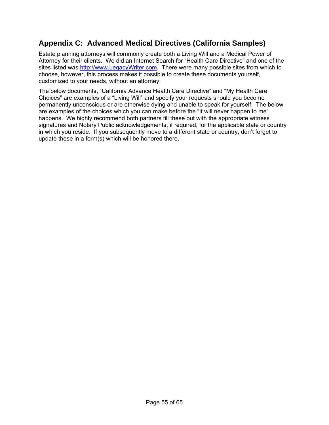# <span id="page-54-0"></span>**Appendix C: Advanced Medical Directives (California Samples)**

Estate planning attorneys will commonly create both a Living Will and a Medical Power of Attorney for their clients. We did an Internet Search for "Health Care Directive" and one of the sites listed was [http://www.LegacyWriter.com](http://www.legacywriter.com/). There were many possible sites from which to choose, however, this process makes it possible to create these documents yourself, customized to your needs, without an attorney.

The below documents, "California Advance Health Care Directive" and "My Health Care Choices" are examples of a "Living Will" and specify your requests should you become permanently unconscious or are otherwise dying and unable to speak for yourself. The below are examples of the choices which you can make before the "It will never happen to me" happens. We highly recommend both partners fill these out with the appropriate witness signatures and Notary Public acknowledgements, if required, for the applicable state or country in which you reside. If you subsequently move to a different state or country, don't forget to update these in a form(s) which will be honored there.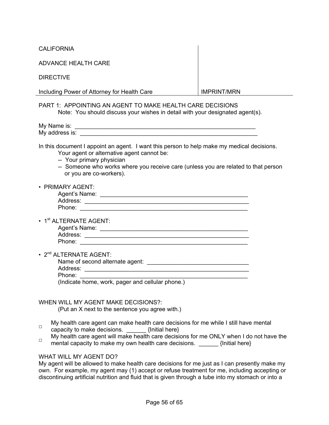**CALIFORNIA** 

| <b>ADVANCE HEALTH CARE</b> |  |  |
|----------------------------|--|--|
|----------------------------|--|--|

| <b>DIRECTIVE</b>                                                                                                                                                                                                                                                                       |                    |
|----------------------------------------------------------------------------------------------------------------------------------------------------------------------------------------------------------------------------------------------------------------------------------------|--------------------|
| Including Power of Attorney for Health Care                                                                                                                                                                                                                                            | <b>IMPRINT/MRN</b> |
| PART 1: APPOINTING AN AGENT TO MAKE HEALTH CARE DECISIONS<br>Note: You should discuss your wishes in detail with your designated agent(s).                                                                                                                                             |                    |
|                                                                                                                                                                                                                                                                                        |                    |
| In this document I appoint an agent. I want this person to help make my medical decisions.<br>Your agent or alternative agent cannot be:<br>-- Your primary physician<br>-- Someone who works where you receive care (unless you are related to that person<br>or you are co-workers). |                    |
| • PRIMARY AGENT:                                                                                                                                                                                                                                                                       |                    |
| • 1 <sup>st</sup> ALTERNATE AGENT:                                                                                                                                                                                                                                                     |                    |
| • 2 <sup>nd</sup> ALTERNATE AGENT:<br>Phone:<br>(Indicate home, work, pager and cellular phone.)                                                                                                                                                                                       |                    |
| WHEN WILL MY AGENT MAKE DECISIONS?:<br>(Put an X next to the sentence you agree with.)                                                                                                                                                                                                 |                    |
| My health care agent can make health care decisions for me while I still have mental<br>$\Box$<br>capacity to make decisions.<br>{Initial here}                                                                                                                                        |                    |

My health care agent will make health care decisions for me ONLY when I do not have the mental carectivity make my own health care decisions.  $[<sub>l</sub>]$  finitial herel mental capacity to make my own health care decisions. \_\_\_\_\_\_\_ {Initial here}

#### WHAT WILL MY AGENT DO?

My agent will be allowed to make health care decisions for me just as I can presently make my own. For example, my agent may (1) accept or refuse treatment for me, including accepting or discontinuing artificial nutrition and fluid that is given through a tube into my stomach or into a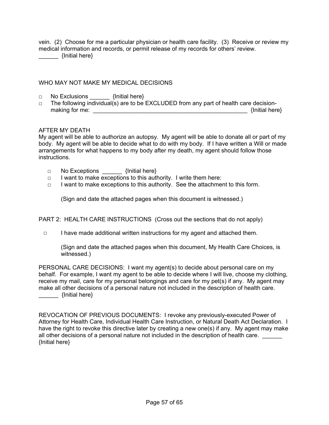vein. (2) Choose for me a particular physician or health care facility. (3) Receive or review my medical information and records, or permit release of my records for others' review. \_\_\_\_\_\_ {Initial here}

WHO MAY NOT MAKE MY MEDICAL DECISIONS

- □ No Exclusions \_\_\_\_\_\_\_\_ {Initial here}
- □ The following individual(s) are to be EXCLUDED from any part of health care decisionmaking for me: \_\_\_\_\_\_\_\_\_\_\_\_\_\_\_\_\_\_\_\_\_\_\_\_\_\_\_\_\_\_\_\_\_\_\_\_\_\_\_\_\_\_\_\_\_\_\_ {Initial here}

#### AFTER MY DEATH

My agent will be able to authorize an autopsy. My agent will be able to donate all or part of my body. My agent will be able to decide what to do with my body. If I have written a Will or made arrangements for what happens to my body after my death, my agent should follow those instructions.

- □ No Exceptions \_\_\_\_\_\_\_ {Initial here}
- □ I want to make exceptions to this authority. I write them here:
- □ I want to make exceptions to this authority. See the attachment to this form.

(Sign and date the attached pages when this document is witnessed.)

PART 2: HEALTH CARE INSTRUCTIONS (Cross out the sections that do not apply)

□ I have made additional written instructions for my agent and attached them.

(Sign and date the attached pages when this document, My Health Care Choices, is witnessed.)

PERSONAL CARE DECISIONS: I want my agent(s) to decide about personal care on my behalf. For example, I want my agent to be able to decide where I will live, choose my clothing, receive my mail, care for my personal belongings and care for my pet(s) if any. My agent may make all other decisions of a personal nature not included in the description of health care. \_\_\_\_\_\_ {Initial here}

REVOCATION OF PREVIOUS DOCUMENTS: I revoke any previously-executed Power of Attorney for Health Care, Individual Health Care Instruction, or Natural Death Act Declaration. I have the right to revoke this directive later by creating a new one(s) if any. My agent may make all other decisions of a personal nature not included in the description of health care. {Initial here}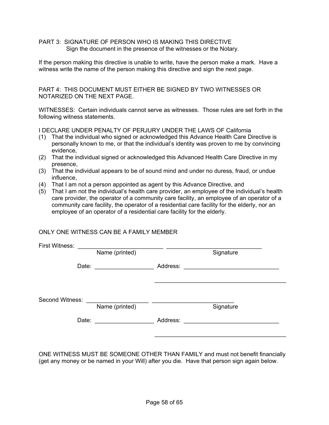PART 3: SIGNATURE OF PERSON WHO IS MAKING THIS DIRECTIVE Sign the document in the presence of the witnesses or the Notary.

If the person making this directive is unable to write, have the person make a mark. Have a witness write the name of the person making this directive and sign the next page.

PART 4: THIS DOCUMENT MUST EITHER BE SIGNED BY TWO WITNESSES OR NOTARIZED ON THE NEXT PAGE.

WITNESSES: Certain individuals cannot serve as witnesses. Those rules are set forth in the following witness statements.

I DECLARE UNDER PENALTY OF PERJURY UNDER THE LAWS OF California

- (1) That the individual who signed or acknowledged this Advance Health Care Directive is personally known to me, or that the individual's identity was proven to me by convincing evidence,
- (2) That the individual signed or acknowledged this Advanced Health Care Directive in my presence,
- (3) That the individual appears to be of sound mind and under no duress, fraud, or undue influence,
- (4) That I am not a person appointed as agent by this Advance Directive, and
- (5) That I am not the individual's health care provider, an employee of the individual's health care provider, the operator of a community care facility, an employee of an operator of a community care facility, the operator of a residential care facility for the elderly, nor an employee of an operator of a residential care facility for the elderly.

#### ONLY ONE WITNESS CAN BE A FAMILY MEMBER

| First Witness:  |                |          |                                                                            |  |
|-----------------|----------------|----------|----------------------------------------------------------------------------|--|
|                 | Name (printed) |          | Signature                                                                  |  |
|                 |                | Address: |                                                                            |  |
| Second Witness: | Name (printed) |          | Signature                                                                  |  |
|                 |                | Address: | the control of the control of the control of the control of the control of |  |
|                 |                |          |                                                                            |  |

ONE WITNESS MUST BE SOMEONE OTHER THAN FAMILY and must not benefit financially (get any money or be named in your Will) after you die. Have that person sign again below.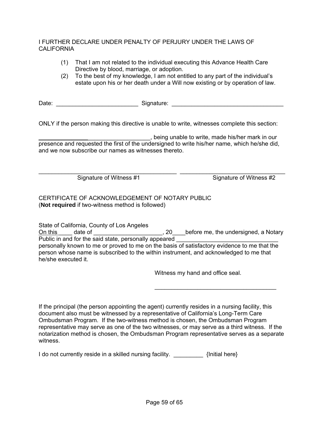#### I FURTHER DECLARE UNDER PENALTY OF PERJURY UNDER THE LAWS OF CALIFORNIA

- (1) That I am not related to the individual executing this Advance Health Care Directive by blood, marriage, or adoption.
- (2) To the best of my knowledge, I am not entitled to any part of the individual's estate upon his or her death under a Will now existing or by operation of law.

Date: \_\_\_\_\_\_\_\_\_\_\_\_\_\_\_\_\_\_\_\_\_\_\_\_\_ Signature: \_\_\_\_\_\_\_\_\_\_\_\_\_\_\_\_\_\_\_\_\_\_\_\_\_\_\_\_\_\_\_\_\_\_

ONLY if the person making this directive is unable to write, witnesses complete this section:

\_\_\_\_\_\_\_\_\_\_\_\_\_\_\_\_\_\_\_\_\_\_\_\_\_\_\_\_\_\_\_\_\_\_, being unable to write, made his/her mark in our presence and requested the first of the undersigned to write his/her name, which he/she did, and we now subscribe our names as witnesses thereto.

\_\_\_\_\_\_\_\_\_\_\_\_\_\_\_\_\_\_\_\_\_\_\_\_\_\_\_\_\_\_\_\_\_\_\_\_\_\_\_\_\_\_ \_\_\_\_\_\_\_\_\_\_\_\_\_\_\_\_\_\_\_\_\_\_\_\_\_\_\_\_\_\_\_\_

Signature of Witness #1 Signature of Witness #2

#### CERTIFICATE OF ACKNOWLEDGEMENT OF NOTARY PUBLIC (**Not required** if two-witness method is followed)

State of California, County of Los Angeles On this date of the contract of the contract of the undersigned, a Notary Public in and for the said state, personally appeared personally known to me or proved to me on the basis of satisfactory evidence to me that the person whose name is subscribed to the within instrument, and acknowledged to me that he/she executed it.

Witness my hand and office seal.

If the principal (the person appointing the agent) currently resides in a nursing facility, this document also must be witnessed by a representative of California's Long-Term Care Ombudsman Program. If the two-witness method is chosen, the Ombudsman Program representative may serve as one of the two witnesses, or may serve as a third witness. If the notarization method is chosen, the Ombudsman Program representative serves as a separate witness.

 $\overline{\phantom{a}}$  ,  $\overline{\phantom{a}}$  ,  $\overline{\phantom{a}}$  ,  $\overline{\phantom{a}}$  ,  $\overline{\phantom{a}}$  ,  $\overline{\phantom{a}}$  ,  $\overline{\phantom{a}}$  ,  $\overline{\phantom{a}}$  ,  $\overline{\phantom{a}}$  ,  $\overline{\phantom{a}}$  ,  $\overline{\phantom{a}}$  ,  $\overline{\phantom{a}}$  ,  $\overline{\phantom{a}}$  ,  $\overline{\phantom{a}}$  ,  $\overline{\phantom{a}}$  ,  $\overline{\phantom{a}}$ 

I do not currently reside in a skilled nursing facility. **A summary set of the set of the set of the set of the s**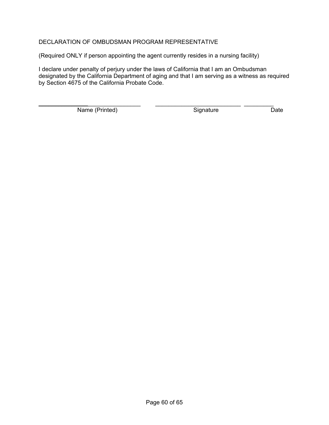#### DECLARATION OF OMBUDSMAN PROGRAM REPRESENTATIVE

(Required ONLY if person appointing the agent currently resides in a nursing facility)

I declare under penalty of perjury under the laws of California that I am an Ombudsman designated by the California Department of aging and that I am serving as a witness as required by Section 4675 of the California Probate Code.

Name (Printed) Signature Date

\_\_\_\_\_\_\_\_\_\_\_\_\_\_\_\_\_\_\_\_\_\_\_\_\_\_\_\_\_\_\_ \_\_\_\_\_\_\_\_\_\_\_\_\_\_\_\_\_\_\_\_\_\_\_\_\_\_ \_\_\_\_\_\_\_\_\_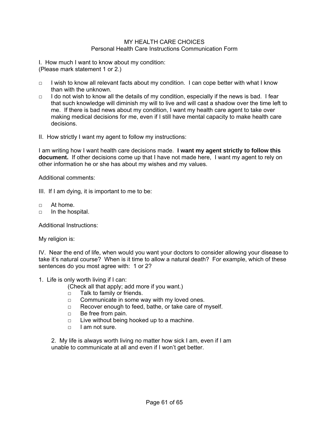#### MY HEALTH CARE CHOICES Personal Health Care Instructions Communication Form

I. How much I want to know about my condition: (Please mark statement 1 or 2.)

- $\Box$  I wish to know all relevant facts about my condition. I can cope better with what I know than with the unknown.
- □ I do not wish to know all the details of my condition, especially if the news is bad. I fear that such knowledge will diminish my will to live and will cast a shadow over the time left to me. If there is bad news about my condition, I want my health care agent to take over making medical decisions for me, even if I still have mental capacity to make health care decisions.
- II. How strictly I want my agent to follow my instructions:

I am writing how I want health care decisions made. **I want my agent strictly to follow this document.** If other decisions come up that I have not made here, I want my agent to rely on other information he or she has about my wishes and my values.

Additional comments:

- III. If I am dying, it is important to me to be:
- $\neg$  At home.
- □ In the hospital.

Additional Instructions:

My religion is:

IV. Near the end of life, when would you want your doctors to consider allowing your disease to take it's natural course? When is it time to allow a natural death? For example, which of these sentences do you most agree with: 1 or 2?

1. Life is only worth living if I can:

(Check all that apply; add more if you want.)

- □ Talk to family or friends.
- $\Box$  Communicate in some way with my loved ones.
- □ Recover enough to feed, bathe, or take care of myself.
- □ Be free from pain.
- $\Box$  Live without being hooked up to a machine.
- $\Box$  I am not sure.

2. My life is always worth living no matter how sick I am, even if I am unable to communicate at all and even if I won't get better.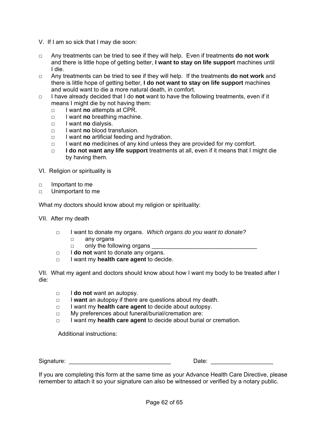- V. If I am so sick that I may die soon:
- □ Any treatments can be tried to see if they will help. Even if treatments **do not work** and there is little hope of getting better, **I want to stay on life support** machines until I die.
- □ Any treatments can be tried to see if they will help. If the treatments **do not work** and there is little hope of getting better, **I do not want to stay on life support** machines and would want to die a more natural death, in comfort.
- □ I have already decided that I do **not** want to have the following treatments, even if it means I might die by not having them:
	- □ I want **no** attempts at CPR.
	- □ I want **no** breathing machine.
	- □ I want **no** dialysis.
	- □ I want **no** blood transfusion.
	- □ I want **no** artificial feeding and hydration.
	- □ I want **no** medicines of any kind unless they are provided for my comfort.
	- □ **I do not want any life support** treatments at all, even if it means that I might die by having them.
- VI. Religion or spirituality is
- □ Important to me
- □ Unimportant to me

What my doctors should know about my religion or spirituality:

VII. After my death

- □ I want to donate my organs. *Which organs do you want to donate?*
	- □ any organs
	- $\Box$  only the following organs
- □ I **do not** want to donate any organs.
- □ I want my **health care agent** to decide.

VII. What my agent and doctors should know about how I want my body to be treated after I die:

- □ I **do not** want an autopsy.
- □ I **want** an autopsy if there are questions about my death.
- □ I want my **health care agent** to decide about autopsy.
- □ My preferences about funeral/burial/cremation are:
- □ I want my **health care agent** to decide about burial or cremation.

Additional instructions:

Signature: \_\_\_\_\_\_\_\_\_\_\_\_\_\_\_\_\_\_\_\_\_\_\_\_\_\_\_\_\_\_\_ Date: \_\_\_\_\_\_\_\_\_\_\_\_\_\_\_\_\_\_\_

If you are completing this form at the same time as your Advance Health Care Directive, please remember to attach it so your signature can also be witnessed or verified by a notary public.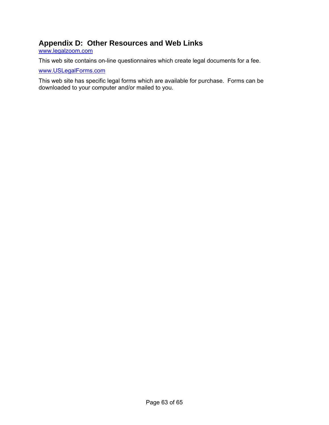# <span id="page-62-0"></span>**Appendix D: Other Resources and Web Links**

[www.legalzoom.com](http://www.legalzoom.com/)

This web site contains on-line questionnaires which create legal documents for a fee.

[www.USLegalForms.com](http://www.uslegalforms.com/)

This web site has specific legal forms which are available for purchase. Forms can be downloaded to your computer and/or mailed to you.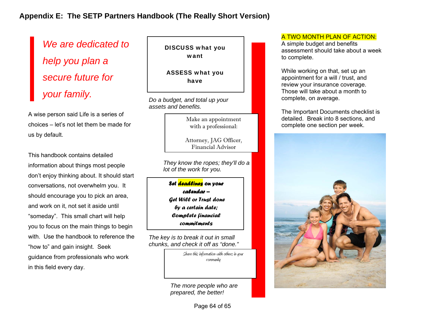*We are dedicated to help you plan a secure future for your family.* 

A wise person said Life is a series of choices – let's not let them be made for us by default.

This handbook contains detailed information about things most people don't enjoy thinking about. It should start conversations, not overwhelm you. It should encourage you to pick an area, and work on it, not set it aside until "someday". This small chart will help you to focus on the main things to begin with. Use the handbook to reference the "how to" and gain insight. Seek guidance from professionals who work in this field every day.

DISCUSS what you want

ASSESS what you have

*Do a budget, and total up your assets and benefits.*

> Make an appointment with a professional:

Attorney, JAG Officer, Financial Advisor

*They know the ropes; they'll do a lot of the work for you.*

*Set deadlines on your calendar – Get Will or Trust done by a certain date; Complete financial commitments*

*The key is to break it out in small chunks, and check it off as "done."*

> Share this information with others in your community

<span id="page-63-0"></span>*The more people who are prepared, the better!*

#### A TWO MONTH PLAN OF ACTION:

A simple budget and benefits assessment should take about a week to complete.

While working on that, set up an appointment for a will / trust, and review your insurance coverage. Those will take about a month to complete, on average.

The Important Documents checklist is detailed. Break into 8 sections, and complete one section per week.